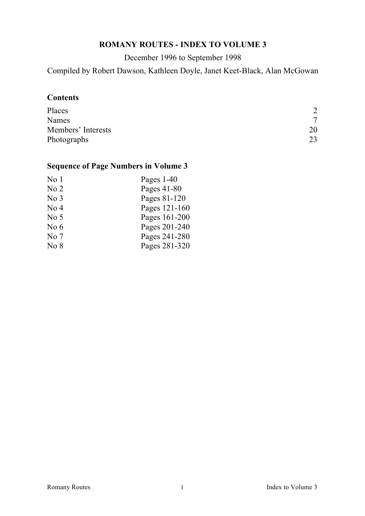# **ROMANY ROUTES - INDEX TO VOLUME 3**

December 1996 to September 1998

Compiled by Robert Dawson, Kathleen Doyle, Janet Keet-Black, Alan McGowan

## **Contents**

| Places             | $\overline{2}$ |
|--------------------|----------------|
| Names              | 7              |
| Members' Interests | 20             |
| Photographs        | 23             |

# **Sequence of Page Numbers in Volume 3**

| Pages $1-40$  |
|---------------|
| Pages 41-80   |
| Pages 81-120  |
| Pages 121-160 |
| Pages 161-200 |
| Pages 201-240 |
| Pages 241-280 |
| Pages 281-320 |
|               |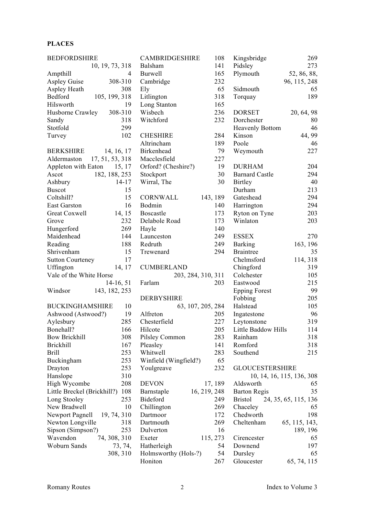#### **PLACES**

| <b>BEDFORDSHIRE</b>         |                 | <b>CAMBRIDGESHIRE</b> | 108          | Kingsbridge            | 269                       |
|-----------------------------|-----------------|-----------------------|--------------|------------------------|---------------------------|
|                             | 10, 19, 73, 318 | Balsham               | 141          | Pidsley                | 273                       |
| Ampthill                    | 4               | <b>Burwell</b>        | 165          | Plymouth               | 52, 86, 88,               |
| <b>Aspley Guise</b>         | 308-310         | Cambridge             | 232          |                        | 96, 115, 248              |
| Aspley Heath                | 308             | Ely                   | 65           | Sidmouth               | 65                        |
| Bedford                     | 105, 199, 318   | Litlington            | 318          | Torquay                | 189                       |
| Hilsworth                   | 19              | Long Stanton          | 165          |                        |                           |
| Husborne Crawley            | 308-310         | Wisbech               | 236          | <b>DORSET</b>          | 20, 64, 98                |
| Sandy                       | 318             | Witchford             | 232          | Dorchester             | 80                        |
| Stotfold                    | 299             |                       |              | <b>Heavenly Bottom</b> | 46                        |
| Turvey                      | 102             | <b>CHESHIRE</b>       | 284          | Kinson                 | 44, 99                    |
|                             |                 | Altrincham            | 189          | Poole                  | 46                        |
| <b>BERKSHIRE</b>            | 14, 16, 17      | Birkenhead            | 79           | Weymouth               | 227                       |
| Aldermaston                 | 17, 51, 53, 318 | Macclesfield          | 227          |                        |                           |
| Appleton with Eaton         | 15, 17          | Orford? (Cheshire?)   | 19           | <b>DURHAM</b>          | 204                       |
| Ascot                       | 182, 188, 253   | Stockport             | 30           | <b>Barnard Castle</b>  | 294                       |
| Ashbury                     | $14 - 17$       | Wirral, The           | 30           | <b>Birtley</b>         | 40                        |
| <b>Buscot</b>               | 15              |                       |              | Durham                 | 213                       |
| Coltshill?                  | 15              | CORNWALL              | 143, 189     | Gateshead              | 294                       |
| East Garston                | 16              | Bodmin                | 140          | Harrington             | 294                       |
| Great Coxwell               | 14, 15          | Boscastle             | 173          | Ryton on Tyne          | 203                       |
| Grove                       | 232             | Delabole Road         | 173          | Winlaton               | 203                       |
| Hungerford                  | 269             | Hayle                 | 140          |                        |                           |
| Maidenhead                  | 144             | Launceston            | 249          | <b>ESSEX</b>           | 270                       |
| Reading                     | 188             | Redruth               | 249          | <b>Barking</b>         | 163, 196                  |
| Shrivenham                  | 15              | Trewenard             | 294          | <b>Braintree</b>       | 35                        |
| <b>Sutton Courteney</b>     | 17              |                       |              | Chelmsford             | 114, 318                  |
| Uffington                   | 14, 17          | <b>CUMBERLAND</b>     |              | Chingford              | 319                       |
| Vale of the White Horse     |                 | 203, 284, 310, 311    |              | Colchester             | 105                       |
|                             | $14-16, 51$     | Farlam                | 203          | Eastwood               | 215                       |
| Windsor                     | 143, 182, 253   |                       |              | <b>Epping Forest</b>   | 99                        |
|                             |                 | <b>DERBYSHIRE</b>     |              | Fobbing                | 205                       |
| <b>BUCKINGHAMSHIRE</b>      | 10              | 63, 107, 205, 284     |              | Halstead               | 105                       |
| Ashwood (Astwood?)          | 19              | Alfreton              | 205          | Ingatestone            | 96                        |
| Aylesbury                   | 285             | Chesterfield          | 227          | Leytonstone            | 319                       |
| Bonehall?                   | 166             | Hilcote               | 205          | Little Baddow Hills    | 114                       |
| <b>Bow Brickhill</b>        | 308             | Pilsley Common        | 283          | Rainham                | 318                       |
| <b>Brickhill</b>            | 167             | Pleasley              | 141          | Romford                | 318                       |
| <b>Brill</b>                | 253             | Whitwell              | 283          | Southend               | 215                       |
| Buckingham                  | 253             | Winfield (Wingfield?) | 65           |                        |                           |
| Drayton                     | 253             | Youlgreave            | 232          | <b>GLOUCESTERSHIRE</b> |                           |
| Hanslope                    | 310             |                       |              |                        | 10, 14, 16, 115, 136, 308 |
| High Wycombe                | 208             | <b>DEVON</b>          | 17, 189      | Aldsworth              | 65                        |
| Little Breckel (Brickhill?) | 108             | Barnstaple            | 16, 219, 248 | <b>Barton Regis</b>    | 35                        |
| Long Stooley                | 253             | Bideford              | 249          | <b>Bristol</b>         | 24, 35, 65, 115, 136      |
| New Bradwell                | 10              | Chillington           | 269          | Chaceley               | 65                        |
| Newport Pagnell             | 19, 74, 310     | Dartmoor              | 172          | Chedworth              | 198                       |
| Newton Longville            | 318             | Dartmouth             | 269          | Cheltenham             | 65, 115, 143,             |
| Sipson (Simpson?)           | 253             | Dulverton             | 16           |                        | 189, 196                  |
| Wavendon                    | 74, 308, 310    | Exeter                | 115, 273     | Cirencester            | 65                        |
| Woburn Sands                | 73, 74,         | Hatherleigh           | 54           | Downend                | 197                       |
|                             | 308, 310        | Holmsworthy (Hols-?)  | 54           | Dursley                | 65                        |
|                             |                 | Honiton               | 267          | Gloucester             | 65, 74, 115               |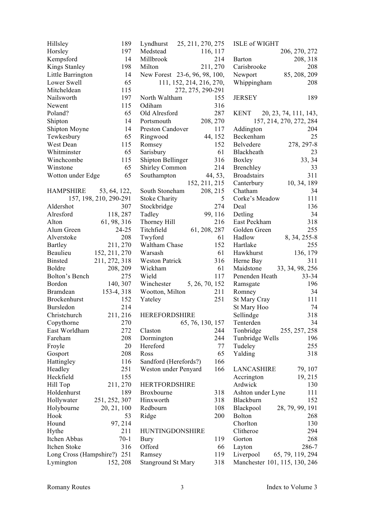| Hillsley                    | 189                    | Lyndhurst 25, 211, 270, 275   |               | <b>ISLE of WIGHT</b>          |                         |
|-----------------------------|------------------------|-------------------------------|---------------|-------------------------------|-------------------------|
| Horsley                     | 197                    | Medstead<br>116, 117          |               |                               | 206, 270, 272           |
| Kempsford                   | 14                     | Millbrook                     | 214           | Barton                        | 208, 318                |
| Kings Stanley               | 198                    | Milton                        | 211, 270      | Carisbrooke                   | 208                     |
| Little Barrington           | 14                     | New Forest 23-6, 96, 98, 100, |               | Newport                       | 85, 208, 209            |
| Lower Swell                 | 65                     | 111, 152, 214, 216, 270,      |               | Whippingham                   | 208                     |
| Mitcheldean                 | 115                    | 272, 275, 290-291             |               |                               |                         |
| Nailsworth                  | 197                    | North Waltham                 | 155           | <b>JERSEY</b>                 | 189                     |
| Newent                      | 115                    | Odiham                        | 316           |                               |                         |
| Poland?                     | 65                     | Old Alresford                 | 287           | KENT 20, 23, 74, 111, 143,    |                         |
| Shipton                     | 14                     | 208, 270<br>Portsmouth        |               |                               | 157, 214, 270, 272, 284 |
| Shipton Moyne               | 14                     | Preston Candover              | 117           | Addington                     | 204                     |
| Tewkesbury                  | 65                     | Ringwood                      | 44, 152       | Beckenham                     | 25                      |
| West Dean                   | 115                    | Romsey                        | 152           | Belvedere                     | 278, 297-8              |
| Whitminster                 | 65                     | Sarisbury                     | 61            | Blackheath                    | 23                      |
| Winchcombe                  | 115                    | Shipton Bellinger             | 316           | Boxley                        | 33, 34                  |
| Winstone                    | 65                     | <b>Shirley Common</b>         | 214           | Brenchley                     | 33                      |
| Wotton under Edge           | 65                     | Southampton                   | 44, 53,       | <b>Broadstairs</b>            | 311                     |
|                             |                        |                               | 152, 211, 215 | Canterbury 10, 34, 189        |                         |
| HAMPSHIRE 53, 64, 122,      |                        | South Stoneham                | 208, 215      | Chatham                       | 34                      |
|                             | 157, 198, 210, 290-291 | <b>Stoke Charity</b>          | 5             | Corke's Meadow                | 111                     |
| Aldershot                   | 307                    | Stockbridge                   | 274           | Deal                          | 136                     |
| Alresford                   | 118, 287               | Tadley                        | 99, 116       | Detling                       | 34                      |
| Alton                       | 61, 98, 316            | Thorney Hill                  | 216           | East Peckham                  | 318                     |
| Alum Green                  | $24 - 25$              | Titchfield                    | 61, 208, 287  | Golden Green                  | 255                     |
| Alverstoke                  | 208                    | Twyford                       | 61            | Hadlow                        | 8, 34, 255-8            |
| Bartley                     | 211, 270               | Waltham Chase                 | 152           | Hartlake                      | 255                     |
| Beaulieu                    | 152, 211, 270          | Warsash                       | 61            | Hawkhurst                     | 136, 179                |
| <b>Binsted</b>              | 211, 272, 318          | <b>Weston Patrick</b>         | 316           | Herne Bay                     | 311                     |
| Boldre                      | 208, 209               | Wickham                       | 61            | Maidstone 33, 34, 98, 256     |                         |
| Bolton's Bench              | 275                    | Wield                         | 117           | Penenden Heath                | 33-34                   |
| Bordon                      | 140, 307               | Winchester 5, 26, 70, 152     |               | Ramsgate                      | 196                     |
| Bramdean                    | 153-4, 318             | Wootton, Milton               | 211           | Romney                        | 34                      |
| Brockenhurst                | 152                    | Yateley                       | 251           | St Mary Cray                  | 111                     |
| Bursledon                   | 214                    |                               |               | St Mary Hoo                   | 74                      |
| Christchurch                | 211, 216               | <b>HEREFORDSHIRE</b>          |               | Sellindge                     | 318                     |
| Copythorne                  | 270                    | 65, 76, 130, 157              |               | Tenterden                     | 34                      |
| East Worldham               | 272                    | Claston                       | 244           | Tonbridge                     | 255, 257, 258           |
| Fareham                     | 208                    | Dormington                    | 244           | Tunbridge Wells               | 196                     |
| Froyle                      | 20                     | Hereford                      | 77            | Tudeley                       | 255                     |
| Gosport                     | 208                    | Ross                          | 65            | Yalding                       | 318                     |
| Hattingley                  | 116                    | Sandford (Herefords?)         | 166           |                               |                         |
|                             | 251                    | Weston under Penyard          | 166           | <b>LANCASHIRE</b>             | 79, 107                 |
| Headley<br>Heckfield        | 155                    |                               |               | Accrington                    | 19, 215                 |
| Hill Top                    | 211, 270               | <b>HERTFORDSHIRE</b>          |               | Ardwick                       | 130                     |
| Holdenhurst                 | 189                    | Broxbourne                    | 318           | Ashton under Lyne             | 111                     |
| Hollywater                  | 251, 252, 307          | Hinxworth                     | 318           | Blackburn                     | 152                     |
| Holybourne                  | 20, 21, 100            | Redbourn                      | 108           |                               | 28, 79, 99, 191         |
| Hook                        |                        |                               | 200           | Blackpool<br><b>Bolton</b>    |                         |
|                             | 53                     | Ridge                         |               | Chorlton                      | 268<br>130              |
| Hound                       | 97, 214                |                               |               |                               |                         |
| Hythe<br>Itchen Abbas       | 211<br>$70-1$          | HUNTINGDONSHIRE               | 119           | Clitheroe<br>Gorton           | 294<br>268              |
|                             | 316                    | Bury<br>Offord                |               |                               | 286-7                   |
| Itchen Stoke                |                        |                               | 66            | Layton                        |                         |
| Long Cross (Hampshire?) 251 |                        | Ramsey                        | 119           | Liverpool                     | 65, 79, 119, 294        |
| Lymington                   | 152, 208               | <b>Stanground St Mary</b>     | 318           | Manchester 101, 115, 130, 246 |                         |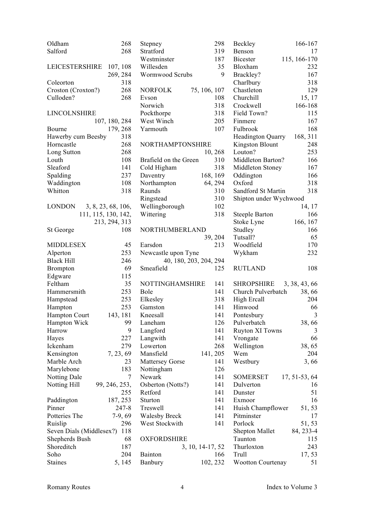| Oldham                   | 268                 | Stepney                 | 298                    | Beckley                  | 166-167              |
|--------------------------|---------------------|-------------------------|------------------------|--------------------------|----------------------|
| Salford                  | 268                 | Stratford               | 319                    | Benson                   | 17                   |
|                          |                     | Westminster             | 187                    | <b>Bicester</b>          | 115, 166-170         |
| LEICESTERSHIRE 107, 108  |                     | Willesden               | 35                     | Bloxham                  | 232                  |
|                          | 269, 284            | Wormwood Scrubs         | 9                      | Brackley?                | 167                  |
| Coleorton                | 318                 |                         |                        | Charlbury                | 318                  |
| Croston (Croxton?)       | 268                 | <b>NORFOLK</b>          | 75, 106, 107           | Chastleton               | 129                  |
| Culloden?                | 268                 | Evson                   | 108                    | Churchill                | 15, 17               |
|                          |                     | Norwich                 | 318                    | Crockwell                | 166-168              |
| LINCOLNSHIRE             |                     | Pockthorpe              | 318                    | Field Town?              | 115                  |
|                          | 107, 180, 284       | West Winch              | 205                    | Finmere                  | 167                  |
| Bourne                   | 179, 268            | Yarmouth                | 107                    | Fulbrook                 | 168                  |
| Hawerby cum Beesby       | 318                 |                         |                        | <b>Headington Quarry</b> | 168, 311             |
| Horncastle               | 268                 | NORTHAMPTONSHIRE        |                        | Kingston Blount          | 248                  |
| Long Sutton              | 268                 |                         | 10, 268                | Louton?                  | 253                  |
| Louth                    | 108                 | Brafield on the Green   | 310                    | Middleton Barton?        | 166                  |
| Sleaford                 | 141                 | Cold Higham             | 318                    | Middleton Stoney         | 167                  |
| Spalding                 | 237                 | Daventry                | 168, 169               | Oddington                | 166                  |
| Waddington               | 108                 | Northampton             | 64, 294                | Oxford                   | 318                  |
| Whitton                  | 318                 | Raunds                  | 310                    | Sandford St Martin       | 318                  |
|                          |                     | Ringstead               | 310                    | Shipton under Wychwood   |                      |
| <b>LONDON</b>            | 3, 8, 23, 68, 106,  | Wellingborough          | 102                    |                          | 14, 17               |
|                          | 111, 115, 130, 142, | Wittering               | 318                    | <b>Steeple Barton</b>    | 166                  |
|                          | 213, 294, 313       |                         |                        | Stoke Lyne               | 166, 167             |
| St George                | 108                 | NORTHUMBERLAND          |                        | Studley                  | 166                  |
|                          |                     |                         | 39, 204                | Tutsall?                 | 65                   |
| <b>MIDDLESEX</b>         | 45                  | Earsdon                 | 213                    | Woodfield                | 170                  |
| Alperton                 | 253                 | Newcastle upon Tyne     |                        | Wykham                   | 232                  |
| <b>Black Hill</b>        | 246                 |                         | 40, 180, 203, 204, 294 |                          |                      |
| <b>Brompton</b>          | 69                  | Smeafield               | 125                    | <b>RUTLAND</b>           | 108                  |
|                          | 115                 |                         |                        |                          |                      |
| Edgware<br>Feltham       | 35                  |                         |                        |                          |                      |
|                          |                     | NOTTINGHAMSHIRE<br>Bole | 141<br>141             | <b>SHROPSHIRE</b>        | 3, 38, 43, 66        |
| Hammersmith              | 253                 |                         |                        | Church Pulverbatch       | 38,66<br>204         |
| Hampstead                | 253                 | Elkesley                | 318                    | High Ercall              |                      |
| Hampton                  | 253                 | Gamston<br>Kneesall     | 141                    | Hinwood                  | 66<br>$\overline{3}$ |
| Hampton Court            | 143, 181            |                         | 141                    | Pontesbury               |                      |
| Hampton Wick             | 99                  | Laneham                 | 126                    | Pulverbatch              | 38,66                |
| Harrow                   | 9                   | Langford                | 141                    | <b>Ruyton XI Towns</b>   | 3                    |
| Hayes                    | 227                 | Langwith                | 141                    | Vrongate                 | 66                   |
| Ickenham                 | 279                 | Lowerton                | 268                    | Wellington               | 38, 65               |
| Kensington               | 7, 23, 69           | Mansfield               | 141, 205               | Wem                      | 204                  |
| Marble Arch              | 23                  | <b>Mattersey Gorse</b>  | 141                    | Westbury                 | 3,66                 |
| Marylebone               | 183                 | Nottingham              | 126                    |                          |                      |
| <b>Notting Dale</b>      | 7                   | Newark                  | 141                    | <b>SOMERSET</b>          | 17, 51-53, 64        |
| Notting Hill             | 99, 246, 253,       | Osberton (Notts?)       | 141                    | Dulverton                | 16                   |
|                          | 255                 | Retford                 | 141                    | Dunster                  | 51                   |
| Paddington               | 187, 253            | Sturton                 | 141                    | Exmoor                   | 16                   |
| Pinner                   | 247-8               | Treswell                | 141                    | Huish Champflower        | 51, 53               |
| Potteries The            | $7-9, 69$           | <b>Walesby Breck</b>    | 141                    | Pitminster               | 17                   |
| Ruislip                  | 296                 | West Stockwith          | 141                    | Porlock                  | 51, 53               |
| Seven Dials (Middlesex?) | 118                 |                         |                        | <b>Shepton Mallet</b>    | 84, 233-4            |
| Shepherds Bush           | 68                  | <b>OXFORDSHIRE</b>      |                        | Taunton                  | 115                  |
| Shoreditch               | 187                 |                         | 3, 10, 14-17, 52       | Thurloxton               | 243                  |
| Soho                     | 204                 | <b>Bainton</b>          | 166                    | Trull                    | 17, 53               |
| <b>Staines</b>           | 5, 145              | Banbury                 | 102, 232               | <b>Wootton Courtenay</b> | 51                   |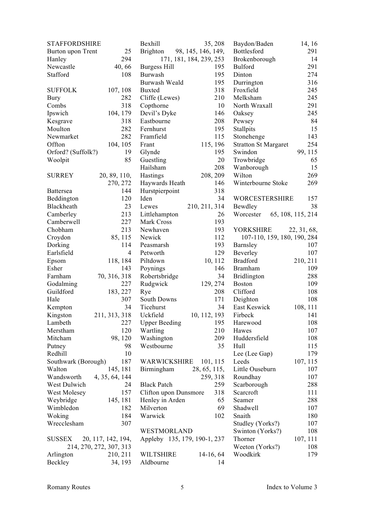| <b>STAFFORDSHIRE</b>          |                            | Bexhill                                  | 35, 208                  | Baydon/Baden                | 14, 16            |
|-------------------------------|----------------------------|------------------------------------------|--------------------------|-----------------------------|-------------------|
| Burton upon Trent             | 25                         | <b>Brighton</b>                          | 98, 145, 146, 149,       | Bottlesford                 | 291               |
| Hanley                        | 294                        |                                          | 171, 181, 184, 239, 253  | Brokenborough               | 14                |
| Newcastle                     | 40,66                      | Burgess Hill                             | 195                      | <b>Bulford</b>              | 291               |
| Stafford                      | 108                        | Burwash                                  | 195                      | Dinton                      | 274               |
|                               |                            | Burwash Weald                            | 195                      | Durrington                  | 316               |
| <b>SUFFOLK</b>                | 107, 108                   | <b>Buxted</b>                            | 318                      | Froxfield                   | 245               |
| <b>Bury</b>                   | 282                        | Cliffe (Lewes)                           | 210                      | Melksham                    | 245               |
| Combs                         | 318                        | Copthorne                                | 10                       | North Wraxall               | 291               |
| Ipswich                       | 104, 179                   | Devil's Dyke                             | 146                      | Oaksey                      | 245               |
| Kesgrave                      | 318                        | Eastbourne                               | 208                      | Pewsey                      | 84                |
| Moulton                       | 282                        | Fernhurst                                | 195                      | Stallpits                   | 15                |
| Newmarket                     | 282                        | Framfield                                | 115                      | Stonehenge                  | 143               |
| Offton                        | 104, 105                   | Frant                                    | 115, 196                 | <b>Stratton St Margaret</b> | 254               |
| Orford? (Suffolk?)            | 19                         | Glynde                                   | 195                      | Swindon                     | 99, 115           |
| Woolpit                       | 85                         | Guestling                                | 20                       | Trowbridge                  | 65                |
|                               |                            | Hailsham                                 | 208                      | Wanborough                  | 15                |
| <b>SURREY</b>                 | 20, 89, 110,               | Hastings                                 | 208, 209                 | Wilton                      | 269               |
|                               | 270, 272                   | Haywards Heath                           | 146                      | Winterbourne Stoke          | 269               |
| <b>Battersea</b>              | 144                        | Hurstpierpoint                           | 318                      |                             |                   |
| Beddington                    | 120                        | Iden                                     | 34                       | <b>WORCESTERSHIRE</b>       | 157               |
| Blackheath                    | 23                         | Lewes                                    | 210, 211, 314            | Bewdley                     | 38                |
| Camberley                     | 213                        | Littlehampton                            | 26                       | Worcester                   | 65, 108, 115, 214 |
| Camberwell                    | 227                        | Mark Cross                               | 193                      |                             |                   |
| Chobham                       | 213                        | Newhaven                                 | 193                      | <b>YORKSHIRE</b>            | 22, 31, 68,       |
| Croydon                       | 85, 115                    | Newick                                   | 112                      | 107-110, 159, 180, 190, 284 |                   |
| Dorking                       | 114                        | Peasmarsh                                | 193                      | Barnsley                    | 107               |
| Earlsfield                    | $\overline{4}$             | Petworth                                 | 129                      | Beverley                    | 107               |
| Epsom                         | 118, 184                   | Piltdown                                 | 10, 112                  | <b>Bradford</b>             | 210, 211          |
| Esher                         | 143                        | Poynings                                 | 146                      | <b>Bramham</b>              | 109               |
| Farnham                       | 70, 316, 318               | Robertsbridge                            | 34                       | Bridlington                 | 288               |
|                               | 227                        | Rudgwick                                 | 129, 274                 | <b>Boston</b>               | 109               |
| Godalming<br>Guildford        | 183, 227                   |                                          | 208                      | Clifford                    | 108               |
| Hale                          | 307                        | Rye<br>South Downs                       | 171                      | Deighton                    | 108               |
| Kempton                       | 34                         | Ticehurst                                | 34                       | East Keswick                | 108, 111          |
| Kingston                      | 211, 313, 318              | Uckfield                                 | 10, 112, 193             | Firbeck                     | 141               |
| Lambeth                       | 227                        | <b>Upper Beeding</b>                     | 195                      | Harewood                    | 108               |
| Merstham                      | 120                        | Wartling                                 | 210                      | Hawes                       | 107               |
|                               |                            |                                          | 209                      | Huddersfield                | 108               |
| Mitcham                       | 98, 120<br>98              | Washington<br>Westbourne                 | 35                       | Hull                        | 115               |
| Putney<br>Redhill             | 10                         |                                          |                          | Lee (Lee Gap)               | 179               |
|                               | 187                        | WARWICKSHIRE                             |                          | Leeds                       | 107, 115          |
| Southwark (Borough)<br>Walton |                            |                                          | 101, 115                 | Little Ouseburn             | 107               |
| Wandsworth                    | 145, 181<br>4, 35, 64, 144 | Birmingham                               | 28, 65, 115,<br>259, 318 | Roundhay                    | 107               |
| West Dulwich                  | 24                         | <b>Black Patch</b>                       | 259                      |                             |                   |
|                               | 157                        |                                          | 318                      | Scarborough<br>Scarcroft    | 288               |
| West Molesey<br>Weybridge     |                            | Clifton upon Dunsmore<br>Henley in Arden | 65                       | Seamer                      | 111<br>288        |
| Wimbledon                     | 145, 181                   |                                          | 69                       |                             |                   |
|                               | 182                        | Milverton<br>Warwick                     | 102                      | Shadwell                    | 107               |
| Woking                        | 184                        |                                          |                          | Snaith                      | 180               |
| Wrecclesham                   | 307                        |                                          |                          | Studley (Yorks?)            | 107               |
|                               |                            | WESTMORLAND                              |                          | Swinton (Yorks?)            | 108               |
| <b>SUSSEX</b>                 | 20, 117, 142, 194,         | Appleby 135, 179, 190-1, 237             |                          | Thorner                     | 107, 111          |
|                               | 214, 270, 272, 307, 313    |                                          |                          | Weeton (Yorks?)             | 108               |
| Arlington                     | 210, 211                   | <b>WILTSHIRE</b>                         | $14-16, 64$              | Woodkirk                    | 179               |
| Beckley                       | 34, 193                    | Aldbourne                                | 14                       |                             |                   |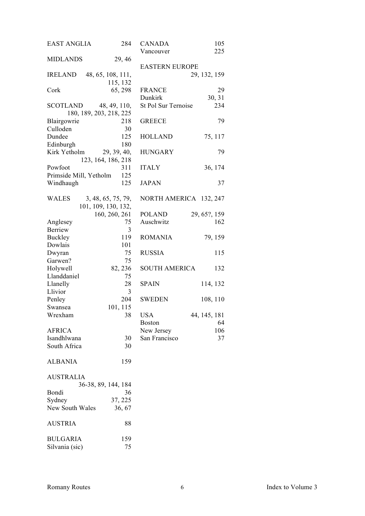| <b>EAST ANGLIA</b>     | 284                     | <b>CANADA</b>          | 105          |
|------------------------|-------------------------|------------------------|--------------|
|                        |                         | Vancouver              | 225          |
| <b>MIDLANDS</b>        | 29, 46                  |                        |              |
|                        |                         | <b>EASTERN EUROPE</b>  |              |
| <b>IRELAND</b>         | 48, 65, 108, 111,       |                        | 29, 132, 159 |
|                        | 115, 132                |                        |              |
| Cork                   | 65, 298                 | <b>FRANCE</b>          | 29           |
|                        |                         | Dunkirk                | 30, 31       |
| SCOTLAND               | 48, 49, 110,            | St Pol Sur Ternoise    | 234          |
|                        | 180, 189, 203, 218, 225 |                        |              |
| Blairgowrie            | 218                     | <b>GREECE</b>          | 79           |
| Culloden               | 30                      |                        |              |
| Dundee                 | 125                     | <b>HOLLAND</b>         | 75, 117      |
| Edinburgh              | 180                     |                        |              |
| Kirk Yetholm           | 29, 39, 40,             | <b>HUNGARY</b>         | 79           |
|                        | 123, 164, 186, 218      |                        |              |
| Powfoot                | 311                     | <b>ITALY</b>           | 36, 174      |
| Primside Mill, Yetholm | 125                     |                        |              |
|                        |                         |                        |              |
| Windhaugh              | 125                     | <b>JAPAN</b>           | 37           |
|                        |                         |                        |              |
| WALES                  | 3, 48, 65, 75, 79,      | NORTH AMERICA 132, 247 |              |
|                        | 101, 109, 130, 132,     |                        |              |
|                        | 160, 260, 261           | <b>POLAND</b>          | 29, 65?, 159 |
| Anglesey               | 75                      | Auschwitz              | 162          |
| Berriew                | 3                       |                        |              |
| <b>Buckley</b>         | 119                     | <b>ROMANIA</b>         | 79, 159      |
| Dowlais                | 101                     |                        |              |
| Dwyran                 | 75                      | <b>RUSSIA</b>          | 115          |
| Garwen?                | 75                      |                        |              |
| Holywell               | 82, 236                 | <b>SOUTH AMERICA</b>   | 132          |
| Llanddaniel            | 75                      |                        |              |
| Llanelly               | 28                      | <b>SPAIN</b>           | 114, 132     |
| Llivior                | 3                       |                        |              |
|                        | 204                     | <b>SWEDEN</b>          |              |
| Penley                 |                         |                        | 108, 110     |
| Swansea                | 101, 115                |                        |              |
| Wrexham                | 38                      | <b>USA</b>             | 44, 145, 181 |
|                        |                         | <b>Boston</b>          | 64           |
| <b>AFRICA</b>          |                         | New Jersey             | 106          |
| Isandhlwana            | 30                      | San Francisco          | 37           |
| South Africa           | 30                      |                        |              |
|                        |                         |                        |              |
| <b>ALBANIA</b>         | 159                     |                        |              |
|                        |                         |                        |              |
| <b>AUSTRALIA</b>       |                         |                        |              |
|                        | 36-38, 89, 144, 184     |                        |              |
| Bondi                  | 36                      |                        |              |
| Sydney                 | 37, 225                 |                        |              |
| New South Wales        | 36, 67                  |                        |              |
|                        |                         |                        |              |
| <b>AUSTRIA</b>         | 88                      |                        |              |
|                        |                         |                        |              |
| <b>BULGARIA</b>        | 159                     |                        |              |
| Silvania (sic)         | 75                      |                        |              |
|                        |                         |                        |              |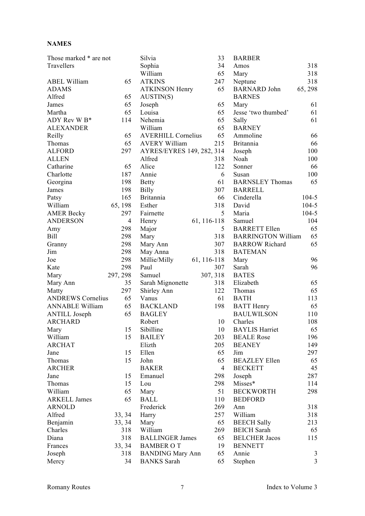#### **NAMES**

| Those marked * are not   |                | Silvia                    | 33             | <b>BARBER</b>             |                |
|--------------------------|----------------|---------------------------|----------------|---------------------------|----------------|
| Travellers               |                | Sophia                    | 34             | Amos                      | 318            |
|                          |                | William                   | 65             | Mary                      | 318            |
| <b>ABEL William</b>      | 65             | <b>ATKINS</b>             | 247            | Neptune                   | 318            |
| <b>ADAMS</b>             |                | <b>ATKINSON Henry</b>     | 65             | <b>BARNARD John</b>       | 65, 298        |
| Alfred                   | 65             | AUSTIN(S)                 |                | <b>BARNES</b>             |                |
| James                    | 65             | Joseph                    | 65             | Mary                      | 61             |
| Martha                   | 65             | Louisa                    | 65             | Jesse 'two thumbed'       | 61             |
| ADY Rev W B*             | 114            | Nehemia                   | 65             | Sally                     | 61             |
| <b>ALEXANDER</b>         |                | William                   | 65             | <b>BARNEY</b>             |                |
| Reilly                   | 65             | <b>AVERHILL Cornelius</b> | 65             | Ammoline                  | 66             |
| Thomas                   | 65             | <b>AVERY William</b>      | 215            | <b>Britannia</b>          | 66             |
| <b>ALFORD</b>            | 297            | AYRES/EYRES 149, 282, 314 |                | Joseph                    | 100            |
| <b>ALLEN</b>             |                | Alfred                    | 318            | Noah                      | 100            |
| Catharine                | 65             | Alice                     | 122            | Sonner                    | 66             |
| Charlotte                | 187            | Annie                     | 6              | Susan                     | 100            |
| Georgina                 | 198            | <b>Betty</b>              | 61             | <b>BARNSLEY Thomas</b>    | 65             |
| James                    | 198            | Billy                     | 307            | <b>BARRELL</b>            |                |
| Patsy                    | 165            | <b>Britannia</b>          | 66             | Cinderella                | $104 - 5$      |
| William                  | 65, 198        | Esther                    | 318            | David                     | $104 - 5$      |
| <b>AMER Becky</b>        | 297            | Fairnette                 | 5              | Maria                     | $104 - 5$      |
| <b>ANDERSON</b>          | $\overline{4}$ |                           | 61, 116-118    | Samuel                    | 104            |
|                          |                | Henry                     | 5              | <b>BARRETT Ellen</b>      |                |
| Amy                      | 298            | Major                     |                |                           | 65             |
| Bill                     | 298            | Mary                      | 318            | <b>BARRINGTON William</b> | 65             |
| Granny                   | 298            | Mary Ann                  | 307            | <b>BARROW Richard</b>     | 65             |
| Jim                      | 298            | May Anna                  | 318            | <b>BATEMAN</b>            |                |
| Joe                      | 298            | Millie/Milly              | 61, 116-118    | Mary                      | 96             |
| Kate                     | 298            | Paul                      | 307            | Sarah                     | 96             |
| Mary                     | 297, 298       | Samuel                    | 307, 318       | <b>BATES</b>              |                |
| Mary Ann                 | 35             | Sarah Mignonette          | 318            | Elizabeth                 | 65             |
| Matty                    | 297            | Shirley Ann               | 122            | Thomas                    | 65             |
| <b>ANDREWS Cornelius</b> | 65             | Vanus                     | 61             | <b>BATH</b>               | 113            |
| <b>ANNABLE William</b>   | 65             | <b>BACKLAND</b>           | 198            | <b>BATT</b> Henry         | 65             |
| <b>ANTILL Joseph</b>     | 65             | <b>BAGLEY</b>             |                | <b>BAULWILSON</b>         | 110            |
| <b>ARCHARD</b>           |                | Robert                    | 10             | Charles                   | 108            |
| Mary                     | 15             | Sibilline                 | 10             | <b>BAYLIS Harriet</b>     | 65             |
| William                  | 15             | <b>BAILEY</b>             | 203            | <b>BEALE</b> Rose         | 196            |
| <b>ARCHAT</b>            |                | Elizth                    | 205            | <b>BEANEY</b>             | 149            |
| Jane                     | 15             | Ellen                     | 65             | Jim                       | 297            |
| Thomas                   | 15             | John                      | 65             | <b>BEAZLEY Ellen</b>      | 65             |
| <b>ARCHER</b>            |                | <b>BAKER</b>              | $\overline{4}$ | <b>BECKETT</b>            | 45             |
| Jane                     | 15             | Emanuel                   | 298            | Joseph                    | 287            |
| Thomas                   | 15             | Lou                       | 298            | Misses*                   | 114            |
| William                  | 65             | Mary                      | 51             | <b>BECKWORTH</b>          | 298            |
| <b>ARKELL James</b>      | 65             | <b>BALL</b>               | 110            | <b>BEDFORD</b>            |                |
| <b>ARNOLD</b>            |                | Frederick                 | 269            | Ann                       | 318            |
| Alfred                   | 33, 34         | Harry                     | 257            | William                   | 318            |
| Benjamin                 | 33, 34         | Mary                      | 65             | <b>BEECH Sally</b>        | 213            |
| Charles                  | 318            | William                   | 269            | <b>BEICH</b> Sarah        | 65             |
| Diana                    | 318            | <b>BALLINGER James</b>    | 65             | <b>BELCHER Jacos</b>      | 115            |
| Frances                  | 33, 34         | <b>BAMBER OT</b>          | 19             | <b>BENNETT</b>            |                |
| Joseph                   | 318            | <b>BANDING Mary Ann</b>   | 65             | Annie                     | 3              |
| Mercy                    | 34             | <b>BANKS</b> Sarah        | 65             | Stephen                   | $\overline{3}$ |
|                          |                |                           |                |                           |                |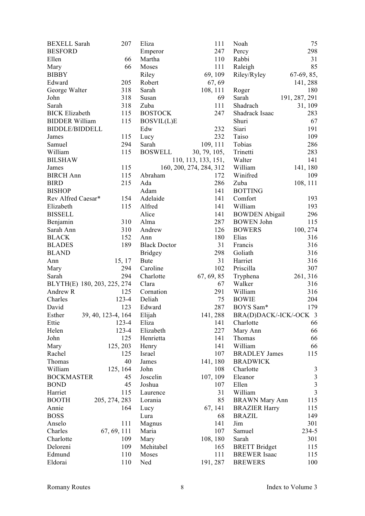| <b>BEXELL Sarah</b>   | 207                                | Eliza               | 111                     | Noah                   | 75             |
|-----------------------|------------------------------------|---------------------|-------------------------|------------------------|----------------|
| <b>BESFORD</b>        |                                    | Emperor             | 247                     | Percy                  | 298            |
| Ellen                 | 66                                 | Martha              | 110                     | Rabbi                  | 31             |
| Mary                  | 66                                 | Moses               | 111                     | Raleigh                | 85             |
| <b>BIBBY</b>          |                                    | Riley               | 69, 109                 | Riley/Ryley            | 67-69, 85,     |
| Edward                | 205                                | Robert              | 67, 69                  |                        | 141, 288       |
| George Walter         | 318                                | Sarah               | 108, 111                | Roger                  | 180            |
| John                  | 318                                | Susan               | 69                      | Sarah                  | 191, 287, 291  |
| Sarah                 | 318                                | Zuba                | 111                     | Shadrach               | 31, 109        |
| <b>BICK Elizabeth</b> | 115                                | <b>BOSTOCK</b>      | 247                     | Shadrack Isaac         | 283            |
| <b>BIDDER William</b> | 115                                | BOSVIL(L)E          |                         | Shuri                  | 67             |
| <b>BIDDLE/BIDDELL</b> |                                    | Edw                 | 232                     | Siari                  | 191            |
| James                 | 115                                | Lucy                | 232                     | Taiso                  | 109            |
| Samuel                | 294                                | Sarah               | 109, 111                | Tobias                 | 286            |
| William               | 115                                | <b>BOSWELL</b>      | 30, 79, 105,            | Trinetti               | 283            |
| <b>BILSHAW</b>        |                                    |                     | 110, 113, 133, 151,     | Walter                 | 141            |
| James                 | 115                                |                     | 160, 200, 274, 284, 312 | William                | 141, 180       |
| <b>BIRCH</b> Ann      | 115                                | Abraham             | 172                     | Winifred               | 109            |
| <b>BIRD</b>           | 215                                | Ada                 | 286                     | Zuba                   | 108, 111       |
| <b>BISHOP</b>         |                                    | Adam                | 141                     | <b>BOTTING</b>         |                |
| Rev Alfred Caesar*    | 154                                | Adelaide            | 141                     | Comfort                | 193            |
| Elizabeth             | 115                                | Alfred              | 141                     | William                | 193            |
| <b>BISSELL</b>        |                                    | Alice               | 141                     | <b>BOWDEN Abigail</b>  | 296            |
| Benjamin              | 310                                | Alma                | 287                     | <b>BOWEN</b> John      | 115            |
| Sarah Ann             | 310                                | Andrew              | 126                     | <b>BOWERS</b>          | 100, 274       |
| <b>BLACK</b>          | 152                                | Ann                 | 180                     | Elias                  | 316            |
| <b>BLADES</b>         | 189                                | <b>Black Doctor</b> | 31                      | Francis                | 316            |
| <b>BLAND</b>          |                                    | <b>Bridgey</b>      | 298                     | Goliath                | 316            |
| Ann                   | 15, 17                             | <b>Bute</b>         | 31                      | Harriet                | 316            |
| Mary                  | 294                                | Caroline            | 102                     | Priscilla              | 307            |
| Sarah                 | 294                                | Charlotte           | 67, 69, 85              |                        | 261, 316       |
|                       |                                    | Clara               | 67                      | Tryphena<br>Walker     | 316            |
| Andrew R              | BLYTH(E) 180, 203, 225, 274<br>125 | Cornation           | 291                     | William                | 316            |
| Charles               | $123 - 4$                          | Deliah              | 75                      | <b>BOWIE</b>           | 204            |
| David                 | 123                                |                     | 287                     | BOYS Sam*              |                |
|                       |                                    | Edward              |                         | BRA(D)DACK/-ICK/-OCK 3 | 179            |
| Esther<br>Ettie       | 39, 40, 123-4, 164<br>$123 - 4$    | Elijah<br>Eliza     | 141, 288<br>141         | Charlotte              | 66             |
| Helen                 | 123-4                              |                     | 227                     |                        | 66             |
| John                  | 125                                | Elizabeth           | 141                     | Mary Ann<br>Thomas     |                |
|                       |                                    | Henrietta           |                         | William                | 66             |
| Mary                  | 125, 203                           | Henry               | 141                     |                        | 66<br>115      |
| Rachel                | 125<br>40                          | Israel              | 107                     | <b>BRADLEY James</b>   |                |
| Thomas                |                                    | James               | 141, 180                | <b>BRADWICK</b>        |                |
| William               | 125, 164                           | John                | 108                     | Charlotte              | $\mathfrak{Z}$ |
| <b>BOCKMASTER</b>     | 45                                 | Joscelin            | 107, 109                | Eleanor                | $\mathfrak{Z}$ |
| <b>BOND</b>           | 45                                 | Joshua              | 107                     | Ellen                  | $\overline{3}$ |
| Harriet               | 115                                | Laurence            | 31                      | William                | $\overline{3}$ |
| <b>BOOTH</b>          | 205, 274, 283                      | Lorania             | 85                      | <b>BRAWN</b> Mary Ann  | 115            |
| Annie                 | 164                                | Lucy                | 67, 141                 | <b>BRAZIER Harry</b>   | 115            |
| <b>BOSS</b>           |                                    | Lura                | 68                      | <b>BRAZIL</b>          | 149            |
| Anselo                | 111                                | Magnus              | 141                     | Jim                    | 301            |
| Charles               | 67, 69, 111                        | Maria               | 107                     | Samuel                 | 234-5          |
| Charlotte             | 109                                | Mary                | 108, 180                | Sarah                  | 301            |
| Deloreni              | 109                                | Mehitabel           | 165                     | <b>BRETT</b> Bridget   | 115            |
| Edmund                | 110                                | Moses               | 111                     | <b>BREWER</b> Isaac    | 115            |
| Eldorai               | 110                                | Ned                 | 191, 287                | <b>BREWERS</b>         | 100            |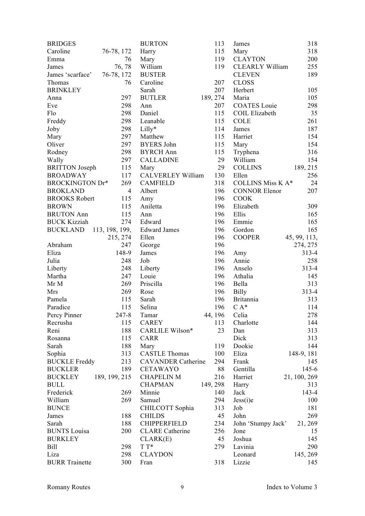| <b>BRIDGES</b>          |                | <b>BURTON</b>             | 113           | James                    | 318          |
|-------------------------|----------------|---------------------------|---------------|--------------------------|--------------|
| Caroline                | 76-78, 172     | Harry                     | 115           | Mary                     | 318          |
| Emma                    | 76             | Mary                      | 119           | <b>CLAYTON</b>           | 200          |
| James                   | 76, 78         | William                   | 119           | <b>CLEARLY William</b>   | 255          |
| James 'scarface'        | 76-78, 172     | <b>BUSTER</b>             |               | <b>CLEVEN</b>            | 189          |
| Thomas                  | 76             | Caroline                  | 207           | <b>CLOSS</b>             |              |
| <b>BRINKLEY</b>         |                | Sarah                     | 207           | Herbert                  | 105          |
| Anna                    | 297            | <b>BUTLER</b>             | 189, 274      | Maria                    | 105          |
| Eve                     | 298            | Ann                       | 207           | <b>COATES</b> Louie      | 298          |
| Flo                     | 298            | Daniel                    | 115           | <b>COIL Elizabeth</b>    | 35           |
| Freddy                  | 298            | Leanable                  | 115           | <b>COLE</b>              | 261          |
| Joby                    | 298            | Lilly*                    | 114           | James                    | 187          |
| Mary                    | 297            | Matthew                   | 115           | Harriet                  | 154          |
| Oliver                  | 297            | <b>BYERS John</b>         | 115           | Mary                     | 154          |
| Rodney                  | 298            | <b>BYRCH Ann</b>          | 115           | Tryphena                 | 316          |
| Wally                   | 297            | <b>CALLADINE</b>          | 29            | William                  | 154          |
| <b>BRITTON</b> Joseph   | 115            | Mary                      | 29            | <b>COLLINS</b>           | 189, 215     |
|                         | 117            | <b>CALVERLEY William</b>  | 130           | Ellen                    | 256          |
| <b>BROADWAY</b>         |                |                           |               |                          |              |
| BROCKINGTON Dr*         | 269            | <b>CAMFIELD</b>           | 318           | <b>COLLINS Miss K A*</b> | 24           |
| <b>BROKLAND</b>         | $\overline{4}$ | Albert                    | 196           | <b>CONNOR Elenor</b>     | 207          |
| <b>BROOKS Robert</b>    | 115            | Amy                       | 196           | <b>COOK</b>              |              |
| <b>BROWN</b>            | 115            | Aniletta                  | 196           | Elizabeth                | 309          |
| <b>BRUTON Ann</b>       | 115            | Ann                       | 196           | Ellis                    | 165          |
| <b>BUCK Kizziah</b>     | 274            | Edward                    | 196           | Emmie                    | 165          |
| BUCKLAND 113, 198, 199, |                | <b>Edward James</b>       | 196           | Gordon                   | 165          |
|                         | 215, 274       | Ellen                     | 196           | <b>COOPER</b>            | 45, 99, 113, |
| Abraham                 | 247            | George                    | 196           |                          | 274, 275     |
| Eliza                   | 148-9          | James                     | 196           | Amy                      | $313 - 4$    |
| Julia                   | 248            | Job                       | 196           | Annie                    | 258          |
| Liberty                 | 248            | Liberty                   | 196           | Anselo                   | $313 - 4$    |
| Martha                  | 247            | Louie                     | 196           | Athalia                  | 145          |
| Mr M                    | 269            | Priscilla                 | 196           | Bella                    | 313          |
| Mrs                     | 269            | Rose                      | 196           | <b>Billy</b>             | $313 - 4$    |
| Pamela                  | 115            | Sarah                     | 196           | Britannia                | 313          |
| Paradice                | 115            | Selina                    | 196           | $C A^*$                  | 114          |
| Percy Pinner            | 247-8          | Tamar                     | 44, 196 Celia |                          | 278          |
| Recrusha                | 115            | <b>CAREY</b>              | 113           | Charlotte                | 144          |
| Reni                    | 188            | CARLILE Wilson*           | 23            | Dan                      | 313          |
| Rosanna                 | 115            | <b>CARR</b>               |               | Dick                     | 313          |
| Sarah                   | 188            | Mary                      | 119           | Dookie                   | 144          |
| Sophia                  | 313            | <b>CASTLE Thomas</b>      | 100           | Eliza                    | 148-9, 181   |
| <b>BUCKLE</b> Freddy    | 213            | <b>CAVANDER Catherine</b> | 294           | Frank                    | 145          |
| <b>BUCKLER</b>          | 189            | <b>CETAWAYO</b>           | 88            | Gentilla                 | $145 - 6$    |
| <b>BUCKLEY</b>          | 189, 199, 215  | <b>CHAPELIN M</b>         | 216           | Harriet                  | 21, 100, 269 |
| <b>BULL</b>             |                | <b>CHAPMAN</b>            | 149, 298      | Harry                    | 313          |
| Frederick               | 269            | Minnie                    | 140           | Jack                     | 143-4        |
| William                 | 269            | Samuel                    | 294           | Jess(i)e                 | 100          |
| <b>BUNCE</b>            |                | CHILCOTT Sophia           | 313           | Job                      | 181          |
|                         |                |                           | 45            |                          |              |
| James                   | 188            | <b>CHILDS</b>             |               | John                     | 269          |
| Sarah                   | 188            | <b>CHIPPERFIELD</b>       | 234           | John 'Stumpy Jack'       | 21, 269      |
| <b>BUNTS</b> Louisa     | 200            | <b>CLARE</b> Catherine    | 256           | Jone                     | 15           |
| <b>BURKLEY</b>          |                | CLARK(E)                  | 45            | Joshua                   | 145          |
| <b>Bill</b>             | 298            | $T T^*$                   | 279           | Lavinia                  | 290          |
| Liza                    | 298            | <b>CLAYDON</b>            |               | Leonard                  | 145, 269     |
| <b>BURR</b> Trainette   | 300            | Fran                      | 318           | Lizzie                   | 145          |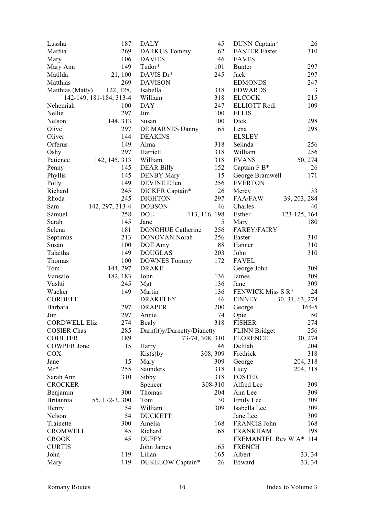| Lussha                        | 187                     | <b>DALY</b>                 | 45              | DUNN Captain*                   | 26              |
|-------------------------------|-------------------------|-----------------------------|-----------------|---------------------------------|-----------------|
| Martha                        | 269                     | <b>DARKUS Tommy</b>         | 62              | <b>EASTER Easter</b>            | 310             |
| Mary                          | 106                     | <b>DAVIES</b>               | 46              | <b>EAVES</b>                    |                 |
| Mary Ann                      | 149                     | Tudor*                      | 101             | <b>Bunter</b>                   | 297             |
| Matilda                       | 21, 100                 | DAVIS Dr*                   | 245             | Jack                            | 297             |
| Matthias                      | 269                     | <b>DAVISON</b>              |                 | <b>EDMONDS</b>                  | 247             |
| Matthias (Matty)              | 122, 128,               | Isabella                    | 318             | <b>EDWARDS</b>                  | $\mathfrak{Z}$  |
|                               | 142-149, 181-184, 313-4 | William                     | 318             | <b>ELCOCK</b>                   | 215             |
| Nehemiah                      | 100                     | <b>DAY</b>                  | 247             | <b>ELLIOTT Rodi</b>             | 109             |
| Nellie                        | 297                     | Jim                         | 100             | <b>ELLIS</b>                    |                 |
| Nelson                        | 144, 313                | Susan                       | 100             | Dick                            | 298             |
| Olive                         | 297                     | DE MARNES Danny             | 165             | Lena                            | 298             |
| Oliver                        | 144                     | <b>DEAKINS</b>              |                 | <b>ELSLEY</b>                   |                 |
| Orferus                       | 149                     | Alma                        | 318             | Selinda                         | 256             |
| Oshy                          | 297                     | Harriett                    | 318             | William                         | 256             |
| Patience                      | 142, 145, 313           | William                     | 318             | <b>EVANS</b>                    | 50, 274         |
| Penny                         | 145                     | <b>DEAR Billy</b>           | 152             | Captain F B*                    | 26              |
| Phyllis                       | 145                     | <b>DENBY Mary</b>           | 15              | George Bramwell                 | 171             |
| Polly                         | 149                     | DEVINE Ellen                | 256             | <b>EVERTON</b>                  |                 |
| Richard                       | 245                     | DICKER Captain*             | 26              | Mercy                           | 33              |
| Rhoda                         | 245                     | <b>DIGHTON</b>              | 297             | <b>FAA/FAW</b>                  | 39, 203, 284    |
| Sam                           | 142, 297, 313-4         | <b>DOBSON</b>               | 46              | Charles                         | 40              |
| Samuel                        | 258                     | <b>DOE</b>                  | 113, 116, 198   | Esther                          | 123-125, 164    |
| Sarah                         | 145                     | Jane                        | 5               | Mary                            | 180             |
| Selena                        | 181                     | <b>DONOHUE Catherine</b>    | 256             | <b>FAREY/FAIRY</b>              |                 |
| Septimus                      | 213                     | DONOVAN Norah               | 256             | Easter                          | 310             |
| Susan                         | 100                     | DOT Amy                     | 88              | Hanner                          | 310             |
| Talaitha                      | 149                     | <b>DOUGLAS</b>              | 203             | John                            | 310             |
| Thomas                        | 100                     | <b>DOWNES Tommy</b>         | 172             | <b>FAVEL</b>                    |                 |
| Tom                           | 144, 297                | <b>DRAKE</b>                |                 | George John                     | 309             |
| Vansalo                       | 182, 183                | John                        | 136             | James                           | 309             |
| Vashti                        | 245                     | Mgt                         | 136             | Jane                            | 309             |
| Wacker                        | 149                     | Martin                      | 136             | FENWICK Miss S R*               | 24              |
| <b>CORBETT</b>                |                         | <b>DRAKELEY</b>             | 46              | <b>FINNEY</b>                   | 30, 31, 63, 274 |
| Barbara                       | 297                     | <b>DRAPER</b>               | 200             | George                          | $164 - 5$       |
| Jim                           | 297                     | Annie                       | 74              | Opie                            | 50              |
| <b>CORDWELL Eliz</b>          | 274                     | <b>Bealy</b>                | 318             | <b>FISHER</b>                   | 274             |
| <b>COSIER Chas</b>            | 285                     | Darn(it)y/Darnetty/Dianetty |                 | <b>FLINN Bridget</b>            | 256             |
| <b>COULTER</b>                | 189                     |                             | 73-74, 308, 310 | <b>FLORENCE</b>                 | 30, 274         |
| <b>COWPER Jone</b>            | 15                      | Harry                       | 46              | Delilah                         | 204             |
| <b>COX</b>                    |                         | $Kis(s)$ by                 | 308, 309        | Fredrick                        | 318             |
| Jane                          | 15                      | Mary                        | 309             | George                          | 204, 318        |
| $Mr^*$                        | 255                     | Saunders                    | 318             | Lucy                            | 204, 318        |
| Sarah Ann                     | 310                     | Sibby                       | 318             | <b>FOSTER</b>                   |                 |
| <b>CROCKER</b>                |                         | Spencer                     | 308-310         | Alfred Lee                      | 309             |
| Benjamin                      | 300                     | Thomas                      | 204             | Ann Lee                         | 309             |
| <b>Britannia</b>              | 55, 172-3, 300          | Tom                         | 30              | Emily Lee                       | 309             |
| Henry                         | 54                      | William                     | 309             | Isabella Lee                    | 309             |
| Nelson                        | 54                      | <b>DUCKETT</b>              |                 | Jane Lee                        | 309             |
|                               | 300                     |                             |                 |                                 |                 |
| Trainette<br><b>CROMWELL</b>  | 45                      | Amelia<br>Richard           | 168<br>168      | FRANCIS John<br><b>FRANKHAM</b> | 168<br>198      |
|                               | 45                      | <b>DUFFY</b>                |                 | FREMANTEL Rev W A* 114          |                 |
| <b>CROOK</b><br><b>CURTIS</b> |                         |                             |                 | <b>FRENCH</b>                   |                 |
|                               |                         | John James                  | 165             |                                 |                 |
| John                          | 119                     | Lilian                      | 165             | Albert                          | 33, 34          |
| Mary                          | 119                     | DUKELOW Captain*            | 26              | Edward                          | 33, 34          |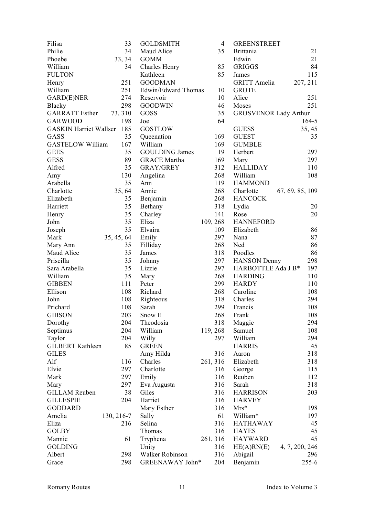| Filisa                        | 33         | <b>GOLDSMITH</b>      | $\overline{4}$ | <b>GREENSTREET</b>           |                 |
|-------------------------------|------------|-----------------------|----------------|------------------------------|-----------------|
| Philie                        | 34         | Maud Alice            | 35             | <b>Brittania</b>             | 21              |
| Phoebe                        | 33, 34     | <b>GOMM</b>           |                | Edwin                        | 21              |
| William                       | 34         | Charles Henry         | 85             | <b>GRIGGS</b>                | 84              |
| <b>FULTON</b>                 |            | Kathleen              | 85             | James                        | 115             |
| Henry                         | 251        | <b>GOODMAN</b>        |                | <b>GRITT</b> Amelia          | 207, 211        |
| William                       | 251        | Edwin/Edward Thomas   | 10             | <b>GROTE</b>                 |                 |
| GARD(E)NER                    | 274        | Reservoir             | 10             | Alice                        | 251             |
| Blacky                        | 298        | <b>GOODWIN</b>        | 46             | Moses                        | 251             |
| <b>GARRATT</b> Esther         | 73, 310    | GOSS                  | 35             | <b>GROSVENOR Lady Arthur</b> |                 |
| <b>GARWOOD</b>                | 198        | Joe                   | 64             |                              | $164 - 5$       |
| <b>GASKIN Harriet Wallser</b> | 185        | <b>GOSTLOW</b>        |                | <b>GUESS</b>                 | 35, 45          |
| GASS                          | 35         | Queenation            | 169            | <b>GUEST</b>                 | 35              |
| <b>GASTELOW William</b>       | 167        | William               | 169            | <b>GUMBLE</b>                |                 |
| <b>GEES</b>                   | 35         | <b>GOULDING James</b> | 19             | Herbert                      | 297             |
| <b>GESS</b>                   | 89         | <b>GRACE Martha</b>   | 169            | Mary                         | 297             |
| Alfred                        | 35         | <b>GRAY/GREY</b>      | 312            | <b>HALLIDAY</b>              | 110             |
| Amy                           | 130        | Angelina              | 268            | William                      | 108             |
| Arabella                      | 35         | Ann                   | 119            | <b>HAMMOND</b>               |                 |
| Charlotte                     | 35, 64     | Annie                 | 268            | Charlotte                    | 67, 69, 85, 109 |
| Elizabeth                     | 35         | Benjamin              | 268            | <b>HANCOCK</b>               |                 |
| Harriett                      | 35         | Bethany               | 318            | Lydia                        | 20              |
|                               | 35         | Charley               | 141            | Rose                         | 20              |
| Henry<br>John                 | 35         | Eliza                 | 109, 268       | <b>HANNEFORD</b>             |                 |
|                               | 35         | Elvaira               | 109            | Elizabeth                    | 86              |
| Joseph<br>Mark                |            |                       | 297            |                              | 87              |
|                               | 35, 45, 64 | Emily                 |                | Nana                         |                 |
| Mary Ann                      | 35         | Filliday              | 268            | Ned                          | 86              |
| Maud Alice                    | 35         | James                 | 318            | Poodles                      | 86              |
| Priscilla                     | 35         | Johnny                | 297            | <b>HANSON</b> Denny          | 298             |
| Sara Arabella                 | 35         | Lizzie                | 297            | HARBOTTLE Ada J B*           | 197             |
| William                       | 35         | Mary                  | 268            | <b>HARDING</b>               | 110             |
| <b>GIBBEN</b>                 | 111        | Peter                 | 299            | <b>HARDY</b>                 | 110             |
| Ellison                       | 108        | Richard               | 268            | Caroline                     | 108             |
| John                          | 108        | Righteous             | 318            | Charles                      | 294             |
| Prichard                      | 108        | Sarah                 | 299            | Francis                      | 108             |
| <b>GIBSON</b>                 | 203        | Snow E                | 268            | Frank                        | 108             |
| Dorothy                       | 204        | Theodosia             | 318            | Maggie                       | 294             |
| Septimus                      | 204        | William               | 119, 268       | Samuel                       | 108             |
| Taylor                        | 204        | Willy                 | 297            | William                      | 294             |
| <b>GILBERT Kathleen</b>       | 85         | <b>GREEN</b>          |                | <b>HARRIS</b>                | 45              |
| <b>GILES</b>                  |            | Amy Hilda             | 316            | Aaron                        | 318             |
| Alf                           | 116        | Charles               | 261, 316       | Elizabeth                    | 318             |
| Elvie                         | 297        | Charlotte             | 316            | George                       | 115             |
| Mark                          | 297        | Emily                 | 316            | Reuben                       | 112             |
| Mary                          | 297        | Eva Augusta           | 316            | Sarah                        | 318             |
| <b>GILLAM Reuben</b>          | 38         | Giles                 | 316            | <b>HARRISON</b>              | 203             |
| <b>GILLESPIE</b>              | 204        | Harriet               | 316            | <b>HARVEY</b>                |                 |
| <b>GODDARD</b>                |            | Mary Esther           | 316            | $Mrs*$                       | 198             |
| Amelia                        | 130, 216-7 | Sally                 | 61             | William*                     | 197             |
| Eliza                         | 216        | Selina                | 316            | <b>HATHAWAY</b>              | 45              |
| <b>GOLBY</b>                  |            | Thomas                | 316            | <b>HAYES</b>                 | 45              |
| Mannie                        | 61         | Tryphena              | 261, 316       | <b>HAYWARD</b>               | 45              |
| <b>GOLDING</b>                |            | Unity                 | 316            | HE(A)RN(E)                   | 4, 7, 200, 246  |
| Albert                        | 298        | Walker Robinson       | 316            | Abigail                      | 296             |
| Grace                         | 298        | GREENAWAY John*       | 204            | Benjamin                     | 255-6           |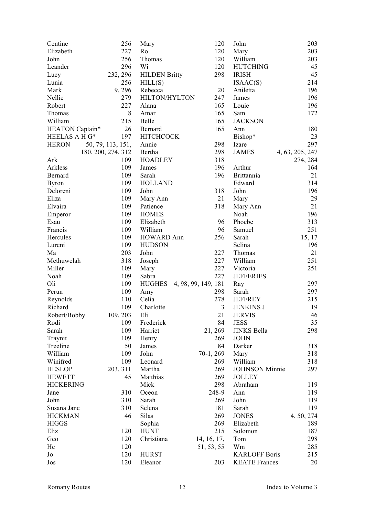| Centine          | 256                | Mary                 | 120                 | John                  | 203             |
|------------------|--------------------|----------------------|---------------------|-----------------------|-----------------|
| Elizabeth        | 227                | Ro                   | 120                 | Mary                  | 203             |
| John             | 256                | Thomas               | 120                 | William               | 203             |
| Leander          | 296                | Wi                   | 120                 | <b>HUTCHING</b>       | 45              |
| Lucy             | 232, 296           | <b>HILDEN Britty</b> | 298                 | <b>IRISH</b>          | 45              |
| Lunia            | 256                | HILL(S)              |                     | ISAAC(S)              | 214             |
| Mark             | 9,296              | Rebecca              | 20                  | Aniletta              | 196             |
| Nellie           | 279                | HILTON/HYLTON        | 247                 | James                 | 196             |
| Robert           | 227                | Alana                | 165                 | Louie                 | 196             |
| Thomas           | 8                  | Amar                 | 165                 | Sam                   | 172             |
| William          | 215                | Belle                | 165                 | <b>JACKSON</b>        |                 |
| HEATON Captain*  | 26                 | Bernard              | 165                 | Ann                   | 180             |
| HEELAS A H G*    | 197                | <b>HITCHCOCK</b>     |                     | Bishop*               | 23              |
| <b>HERON</b>     | 50, 79, 113, 151,  | Annie                | 298                 | Izare                 | 297             |
|                  | 180, 200, 274, 312 | Bertha               | 298                 | <b>JAMES</b>          | 4, 63, 205, 247 |
| Ark              | 109                | <b>HOADLEY</b>       | 318                 |                       | 274, 284        |
| Arkless          | 109                | James                | 196                 | Arthur                | 164             |
| Bernard          | 109                | Sarah                | 196                 | <b>Brittannia</b>     | 21              |
| <b>Byron</b>     | 109                | <b>HOLLAND</b>       |                     | Edward                | 314             |
| Deloreni         | 109                | John                 | 318                 | John                  | 196             |
| Eliza            | 109                | Mary Ann             | 21                  | Mary                  | 29              |
| Elvaira          | 109                | Patience             | 318                 | Mary Ann              | 21              |
| Emperor          | 109                | <b>HOMES</b>         |                     | Noah                  | 196             |
| Esau             | 109                | Elizabeth            | 96                  | Phoebe                | 313             |
| Francis          | 109                | William              | 96                  | Samuel                | 251             |
|                  | 109                |                      | 256                 |                       |                 |
| Hercules         |                    | <b>HOWARD Ann</b>    |                     | Sarah                 | 15, 17          |
| Lureni           | 109                | <b>HUDSON</b>        |                     | Selina                | 196             |
| Ma               | 203                | John                 | 227                 | Thomas                | 21              |
| Methuwelah       | 318                | Joseph               | 227                 | William               | 251             |
| Miller           | 109                | Mary                 | 227                 | Victoria              | 251             |
| Noah             | 109                | Sabra                | 227                 | <b>JEFFERIES</b>      |                 |
| Oli              | 109                | <b>HUGHES</b>        | 4, 98, 99, 149, 181 | Ray                   | 297             |
| Perun            | 109                | Amy                  | 298                 | Sarah                 | 297             |
| Reynolds         | 110                | Celia                | 278                 | <b>JEFFREY</b>        | 215             |
| Richard          | 109                | Charlotte            | 3                   | <b>JENKINS J</b>      | 19              |
| Robert/Bobby     | 109, 203           | Eli                  | 21                  | <b>JERVIS</b>         | 46              |
| Rodi             | 109                | Frederick            | 84                  | <b>JESS</b>           | 35              |
| Sarah            | 109                | Harriet              | 21, 269             | <b>JINKS Bella</b>    | 298             |
| Traynit          | 109                | Henry                | 269                 | <b>JOHN</b>           |                 |
| Treeline         | 50                 | James                | 84                  | Darker                | 318             |
| William          | 109                | John                 | $70-1, 269$         | Mary                  | 318             |
| Winifred         | 109                | Leonard              | 269                 | William               | 318             |
| <b>HESLOP</b>    | 203, 311           | Martha               | 269                 | <b>JOHNSON</b> Minnie | 297             |
| <b>HEWETT</b>    | 45                 | Matthias             | 269                 | <b>JOLLEY</b>         |                 |
| <b>HICKERING</b> |                    | Mick                 | 298                 | Abraham               | 119             |
| Jane             | 310                | Oceon                | 248-9               | Ann                   | 119             |
| John             | 310                | Sarah                | 269                 | John                  | 119             |
| Susana Jane      | 310                | Selena               | 181                 | Sarah                 | 119             |
| <b>HICKMAN</b>   | 46                 | Silas                | 269                 | <b>JONES</b>          | 4, 50, 274      |
| <b>HIGGS</b>     |                    | Sophia               | 269                 | Elizabeth             | 189             |
| Eliz             | 120                | <b>HUNT</b>          | 215                 | Solomon               | 187             |
| Geo              | 120                | Christiana           | 14, 16, 17,         | Tom                   | 298             |
| He               | 120                |                      | 51, 53, 55          | Wm                    | 285             |
| Jo               | 120                | <b>HURST</b>         |                     | <b>KARLOFF Boris</b>  | 215             |
| Jos              | 120                | Eleanor              | 203                 | <b>KEATE</b> Frances  | 20              |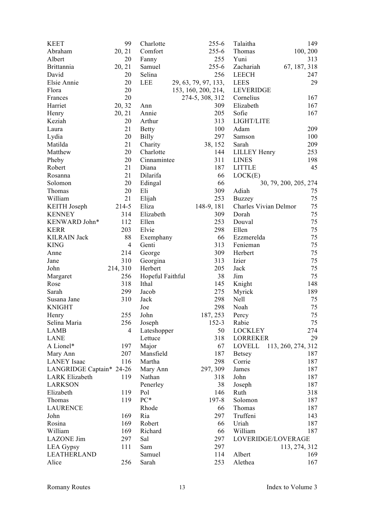| <b>KEET</b>              | 99             | Charlotte        | $255 - 6$            | Talaitha              | 149                   |
|--------------------------|----------------|------------------|----------------------|-----------------------|-----------------------|
| Abraham                  | 20, 21         | Comfort          | $255 - 6$            | Thomas                | 100, 200              |
| Albert                   | 20             | Fanny            | 255                  | Yuni                  | 313                   |
| <b>Brittannia</b>        | 20, 21         | Samuel           | $255 - 6$            | Zachariah             | 67, 187, 318          |
| David                    | 20             | Selina           | 256                  | <b>LEECH</b>          | 247                   |
| Elsie Annie              | 20             | <b>LEE</b>       | 29, 63, 79, 97, 133, | <b>LEES</b>           | 29                    |
| Flora                    | 20             |                  | 153, 160, 200, 214,  | <b>LEVERIDGE</b>      |                       |
| Frances                  | 20             |                  | 274-5, 308, 312      | Cornelius             | 167                   |
| Harriet                  | 20, 32         | Ann              | 309                  | Elizabeth             | 167                   |
| Henry                    | 20, 21         | Annie            | 205                  | Sofie                 | 167                   |
| Keziah                   | 20             | Arthur           | 313                  | LIGHT/LITE            |                       |
| Laura                    | 21             | <b>Betty</b>     | 100                  | Adam                  | 209                   |
| Lydia                    | 20             | <b>Billy</b>     | 297                  | Samson                | 100                   |
| Matilda                  | 21             | Charity          | 38, 152              | Sarah                 | 209                   |
| Matthew                  | 20             | Charlotte        | 144                  | <b>LILLEY Henry</b>   | 253                   |
| Pheby                    | 20             | Cinnamintee      | 311                  | <b>LINES</b>          | 198                   |
| Robert                   | 21             | Diana            | 187                  | <b>LITTLE</b>         | 45                    |
| Rosanna                  | 21             | Dilarifa         | 66                   | LOCK(E)               |                       |
| Solomon                  | 20             | Edingal          | 66                   |                       | 30, 79, 200, 205, 274 |
| Thomas                   | 20             | Eli              | 309                  | Adiah                 | 75                    |
| William                  | 21             | Elijah           | 253                  | <b>Buzzey</b>         | 75                    |
| <b>KEITH</b> Joseph      | 214-5          | Eliza            | 148-9, 181           | Charles Vivian Delmor | 75                    |
| <b>KENNEY</b>            | 314            | Elizabeth        | 309                  | Dorah                 | 75                    |
| KENWARD John*            | 112            | Ellen            | 253                  | Douval                | 75                    |
| <b>KERR</b>              | 203            | Elvie            | 298                  | Ellen                 | 75                    |
| <b>KILRAIN Jack</b>      | 88             |                  | 66                   |                       | 75                    |
|                          | $\overline{4}$ | Exemphany        |                      | Ezzmerelda            |                       |
| <b>KING</b>              |                | Genti            | 313                  | Fenieman              | 75                    |
| Anne                     | 214            | George           | 309                  | Herbert               | 75<br>75              |
| Jane                     | 310            | Georgina         | 313                  | Izier                 |                       |
| John                     | 214, 310       | Herbert          | 205                  | Jack                  | 75                    |
| Margaret                 | 256            | Hopeful Faithful | 38                   | Jim                   | 75                    |
| Rose                     | 318            | Ithal            | 145                  | Knight                | 148                   |
| Sarah                    | 299            | Jacob            | 275                  | Myrick                | 189                   |
| Susana Jane              | 310            | Jack             | 298                  | Nell                  | 75                    |
| <b>KNIGHT</b>            |                | Joe              | 298                  | Noah                  | 75                    |
| Henry                    | 255            | John             | 187, 253             | Percy                 | 75                    |
| Selina Maria             | 256            | Joseph           | $152 - 3$            | Rabie                 | 75                    |
| LAMB                     | $\overline{4}$ | Lateshopper      | 50                   | <b>LOCKLEY</b>        | 274                   |
| LANE                     |                | Lettuce          | 318                  | <b>LORREKER</b>       | 29                    |
| A Lionel*                | 197            | Major            | 67                   | LOVELL                | 113, 260, 274, 312    |
| Mary Ann                 | 207            | Mansfield        | 187                  | <b>Betsey</b>         | 187                   |
| <b>LANEY</b> Isaac       | 116            | Martha           | 298                  | Corrie                | 187                   |
| LANGRIDGE Captain* 24-26 |                | Mary Ann         | 297, 309             | James                 | 187                   |
| <b>LARK</b> Elizabeth    | 119            | Nathan           | 318                  | John                  | 187                   |
| <b>LARKSON</b>           |                | Penerley         | 38                   | Joseph                | 187                   |
| Elizabeth                | 119            | Pol              | 146                  | Ruth                  | 318                   |
| Thomas                   | 119            | PC*              | 197-8                | Solomon               | 187                   |
| <b>LAURENCE</b>          |                | Rhode            | 66                   | Thomas                | 187                   |
| John                     | 169            | Ria              | 297                  | Truffeni              | 143                   |
| Rosina                   | 169            | Robert           | 66                   | Uriah                 | 187                   |
| William                  | 169            | Richard          | 66                   | William               | 187                   |
| <b>LAZONE Jim</b>        | 297            | Sal              | 297                  | LOVERIDGE/LOVERAGE    |                       |
| <b>LEA</b> Gypsy         | 111            | Sam              | 297                  |                       | 113, 274, 312         |
| <b>LEATHERLAND</b>       |                | Samuel           | 114                  | Albert                | 169                   |
| Alice                    | 256            | Sarah            | 253                  | Alethea               | 167                   |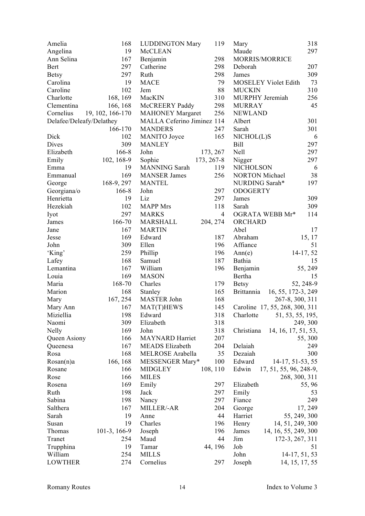| Amelia                   | 168              | <b>LUDDINGTON Mary</b>     | 119            | Mary                              | 318          |
|--------------------------|------------------|----------------------------|----------------|-----------------------------------|--------------|
| Angelina                 | 19               | McCLEAN                    |                | Maude                             | 297          |
| Ann Selina               | 167              | Benjamin                   | 298            | MORRIS/MORRICE                    |              |
| Bert                     | 297              | Catherine                  | 298            | Deborah                           | 207          |
| <b>Betsy</b>             | 297              | Ruth                       | 298            | James                             | 309          |
| Carolina                 | 19               | <b>MACE</b>                | 79             | <b>MOSELEY Violet Edith</b>       | 73           |
| Caroline                 | 102              | Jem                        | 88             | <b>MUCKIN</b>                     | 310          |
| Charlotte                | 168, 169         | MacKIN                     | 310            | MURPHY Jeremiah                   | 256          |
| Clementina               | 166, 168         | McCREERY Paddy             | 298            | <b>MURRAY</b>                     | 45           |
| Cornelius                | 19, 102, 166-170 | <b>MAHONEY Margaret</b>    | 256            | <b>NEWLAND</b>                    |              |
| Delafee/Deleafy/Delathey |                  | MALLA Ceferino Jiminez 114 |                | Albert                            | 301          |
|                          | 166-170          | <b>MANDERS</b>             | 247            | Sarah                             | 301          |
| Dick                     | 102              | <b>MANITO</b> Joyce        | 165            | NICHOL(L)S                        | 6            |
| Dives                    | 309              | <b>MANLEY</b>              |                | <b>Bill</b>                       | 297          |
| Elizabeth                | 166-8            | John                       | 173, 267       | Nell                              | 297          |
| Emily                    | 102, 168-9       | Sophie                     | 173, 267-8     | Nigger                            | 297          |
| Emma                     | 19               | <b>MANNING</b> Sarah       | 119            | <b>NICHOLSON</b>                  | 6            |
| Emmanual                 | 169              | <b>MANSER James</b>        | 256            | <b>NORTON Michael</b>             | 38           |
| George                   | 168-9, 297       | <b>MANTEL</b>              |                | NURDING Sarah*                    | 197          |
| Georgiana/o              | 166-8            | John                       | 297            | <b>ODOGERTY</b>                   |              |
| Henrietta                | 19               | Liz                        | 297            | James                             | 309          |
| Hezekiah                 | 102              | <b>MAPP</b> Mrs            | 118            | Sarah                             | 309          |
| Iyot                     | 297              | <b>MARKS</b>               | $\overline{4}$ | OGRATA WEBB Mr*                   | 114          |
| James                    | 166-70           | MARSHALL                   | 204, 274       | ORCHARD                           |              |
| Jane                     | 167              | <b>MARTIN</b>              |                | Abel                              | 17           |
| Jesse                    | 169              | Edward                     | 187            | Abraham                           | 15, 17       |
| John                     | 309              | Ellen                      | 196            | Affiance                          | 51           |
| 'King'                   | 259              | Phillip                    | 196            | Ann(e)                            | 14-17, 52    |
| Lafey                    | 168              | Samuel                     | 187            | Bathia                            | 15           |
| Lemantina                | 167              | William                    | 196            | Benjamin                          | 55, 249      |
| Louia                    | 169              | <b>MASON</b>               |                | Bertha                            | 15           |
| Maria                    | 168-70           | Charles                    | 179            | <b>Betsy</b>                      | 52, 248-9    |
| Marion                   | 168              | Stanley                    | 165            | 16, 55, 172-3, 249<br>Brittannia  |              |
| Mary                     | 167, 254         | MASTER John                | 168            | 267-8, 300, 311                   |              |
| Mary Ann                 | 167              | MAT(T)HEWS                 | 145            | Caroline 17, 55, 268, 300, 311    |              |
| Miziellia                | 198              | Edward                     | 318            | 51, 53, 55, 195,<br>Charlotte     |              |
| Naomi                    | 309              | Elizabeth                  | 318            |                                   | 249, 300     |
| Nelly                    | 169              | John                       | 318            | 14, 16, 17, 51, 53,<br>Christiana |              |
| Queen Asiony             | 166              | <b>MAYNARD</b> Harriet     | 207            |                                   | 55, 300      |
| Queenesa                 | 167              | <b>MEADS</b> Elizabeth     | 204            | Delaiah                           | 249          |
| Rosa                     | 168              | MELROSE Arabella           | 35             | Dezaiah                           | 300          |
| Rosan(n)a                | 166, 168         | MESSENGER Mary*            | 100            | Edward<br>14-17, 51-53, 55        |              |
| Rosane                   | 166              | <b>MIDGLEY</b>             | 108, 110       | Edwin<br>17, 51, 55, 96, 248-9,   |              |
| Rose                     | 166              | <b>MILES</b>               |                | 268, 300, 311                     |              |
| Rosena                   | 169              | Emily                      | 297            | Elizabeth                         | 55, 96       |
| Ruth                     | 198              | Jack                       | 297            | Emily                             | 53           |
| Sabina                   | 198              | Nancy                      | 297            | Fiance                            | 249          |
| Salthera                 | 167              | MILLER/-AR                 | 204            | George                            | 17, 249      |
| Sarah                    | 19               | Anne                       | 44             | Harriet                           | 55, 249, 300 |
| Susan                    | 19               | Charles                    | 196            | 14, 51, 249, 300<br>Henry         |              |
| Thomas                   | 101-3, 166-9     | Joseph                     | 196            | 14, 16, 55, 249, 300<br>James     |              |
| Tranet                   | 254              | Maud                       | 44             | Jim<br>172-3, 267, 311            |              |
| Trupphina                | 19               | Tamar                      | 44, 196        | Job                               | 51           |
| William                  | 254              | <b>MILLS</b>               |                | John<br>14-17, 51, 53             |              |
| <b>LOWTHER</b>           | 274              | Cornelius                  | 297            | Joseph<br>14, 15, 17, 55          |              |
|                          |                  |                            |                |                                   |              |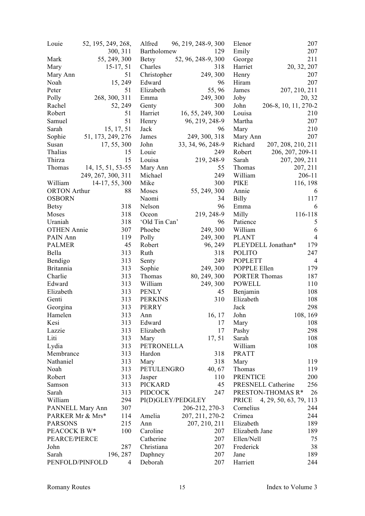| Louie               | 52, 195, 249, 268, | Alfred            | 96, 219, 248-9, 300 | Elenor               | 207                              |
|---------------------|--------------------|-------------------|---------------------|----------------------|----------------------------------|
|                     | 300, 311           | Bartholomew       | 129                 | Emily                | 207                              |
| Mark                | 55, 249, 300       | <b>Betsy</b>      | 52, 96, 248-9, 300  | George               | 211                              |
| Mary                | $15-17, 51$        | Charles           | 318                 | Harriet              | 20, 32, 207                      |
| Mary Ann            | 51                 | Christopher       | 249, 300            | Henry                | 207                              |
| Noah                | 15, 249            | Edward            | 96                  | Hiram                | 207                              |
| Peter               | 51                 | Elizabeth         | 55,96               | James                | 207, 210, 211                    |
| Polly               | 268, 300, 311      | Emma              | 249, 300            | Joby                 | 20, 32                           |
| Rachel              | 52, 249            | Genty             | 300                 | John                 | 206-8, 10, 11, 270-2             |
| Robert              | 51                 | Harriet           | 16, 55, 249, 300    | Louisa               | 210                              |
| Samuel              | 51                 | Henry             | 96, 219, 248-9      | Martha               | 207                              |
| Sarah               | 15, 17, 51         | Jack              | 96                  | Mary                 | 210                              |
| Sophie              | 51, 173, 249, 276  | James             | 249, 300, 318       | Mary Ann             | 207                              |
| Susan               | 17, 55, 300        | John              | 33, 34, 96, 248-9   | Richard              | 207, 208, 210, 211               |
| Thalias             | 15                 | Louie             | 249                 | Robert               | 206, 207, 209-11                 |
| Thirza              | 15                 | Louisa            | 219, 248-9          | Sarah                | 207, 209, 211                    |
| Thomas              | 14, 15, 51, 53-55  | Mary Ann          | 55                  | Thomas               | 207, 211                         |
|                     | 249, 267, 300, 311 | Michael           | 249                 | William              | 206-11                           |
| William             | 14-17, 55, 300     | Mike              | 300                 | <b>PIKE</b>          | 116, 198                         |
| <b>ORTON</b> Arthur | 88                 | Moses             | 55, 249, 300        | Annie                |                                  |
| <b>OSBORN</b>       |                    | Naomi             | 34                  |                      | 6<br>117                         |
|                     |                    |                   |                     | <b>Billy</b>         |                                  |
| <b>Betsy</b>        | 318                | Nelson            | 96                  | Emma                 | 6                                |
| Moses               | 318                | Oceon             | 219, 248-9          | Milly                | 116-118                          |
| Uraniah             | 318                | 'Old Tin Can'     | 96                  | Patience             | 5                                |
| <b>OTHEN Annie</b>  | 307                | Phoebe            | 249, 300            | William              | 6                                |
| PAIN Ann            | 119                | Polly             | 249, 300            | <b>PLANT</b>         | $\overline{4}$                   |
| <b>PALMER</b>       | 45                 | Robert            | 96, 249             |                      | PLEYDELL Jonathan*<br>179        |
| Bella               | 313                | Ruth              | 318                 | <b>POLITO</b>        | 247                              |
| Bendigo             | 313                | Senty             | 249                 | <b>POPLETT</b>       | 4                                |
| <b>Britannia</b>    | 313                | Sophie            | 249, 300            | POPPLE Ellen         | 179                              |
| Charlie             | 313                | Thomas            | 80, 249, 300        | <b>PORTER Thomas</b> | 187                              |
| Edward              | 313                | William           | 249, 300            | <b>POWELL</b>        | 110                              |
| Elizabeth           | 313                | <b>PENLY</b>      | 45                  | Benjamin             | 108                              |
| Genti               | 313                | <b>PERKINS</b>    | 310                 | Elizabeth            | 108                              |
| Georgina            | 313                | <b>PERRY</b>      |                     | Jack                 | 298                              |
| Hamelen             | 313                | Ann               | 16, 17              | John                 | 108, 169                         |
| Kesi                | 313                | Edward            | 17                  | Mary                 | 108                              |
| Lazzie              | 313                | Elizabeth         | 17                  | Pashy                | 298                              |
| Liti                | 313                | Mary              | 17, 51              | Sarah                | 108                              |
| Lydia               | 313                | <b>PETRONELLA</b> |                     | William              | 108                              |
| Membrance           | 313                | Hardon            | 318                 | <b>PRATT</b>         |                                  |
| Nathaniel           | 313                | Mary              | 318                 | Mary                 | 119                              |
| Noah                | 313                | PETULENGRO        | 40, 67              | Thomas               | 119                              |
| Robert              | 313                | Jasper            | 110                 | <b>PRENTICE</b>      | 200                              |
| Samson              | 313                | <b>PICKARD</b>    | 45                  |                      | <b>PRESNELL Catherine</b><br>256 |
| Sarah               | 313                | <b>PIDCOCK</b>    | 247                 |                      | PRESTON-THOMAS R*<br>26          |
| William             | 294                | PI(D)GLEY/PEDGLEY |                     | PRICE                | 4, 29, 50, 63, 79, 113           |
| PANNELL Mary Ann    | 307                |                   | 206-212, 270-3      | Cornelius            | 244                              |
| PARKER Mr & Mrs*    | 114                | Amelia            | 207, 211, 270-2     | Crimea               | 244                              |
| <b>PARSONS</b>      | 215                | Ann               | 207, 210, 211       | Elizabeth            | 189                              |
| PEACOCK B W*        | 100                | Caroline          | 207                 | Elizabeth Jane       | 189                              |
| PEARCE/PIERCE       |                    | Catherine         | 207                 | Ellen/Nell           | 75                               |
| John                | 287                | Christiana        | 207                 | Frederick            | 38                               |
| Sarah               | 196, 287           | Daphney           | 207                 | Jane                 | 189                              |
| PENFOLD/PINFOLD     | 4                  | Deborah           | 207                 | Harriett             | 244                              |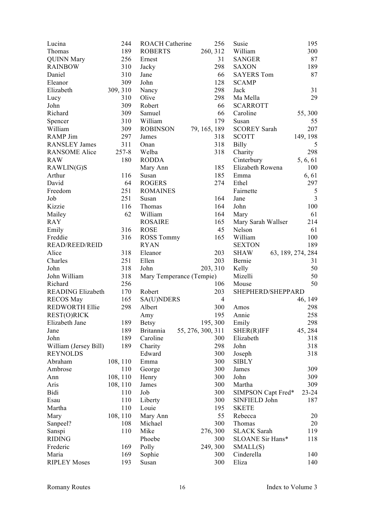| Lucina                   | 244       | <b>ROACH Catherine</b>   |                   | 256            | Susie                            | 195            |
|--------------------------|-----------|--------------------------|-------------------|----------------|----------------------------------|----------------|
| Thomas                   | 189       | <b>ROBERTS</b>           | 260, 312          |                | William                          | 300            |
| <b>QUINN Mary</b>        | 256       | Ernest                   |                   | 31             | <b>SANGER</b>                    | 87             |
| <b>RAINBOW</b>           | 310       | Jacky                    |                   | 298            | <b>SAXON</b>                     | 189            |
| Daniel                   | 310       | Jane                     |                   | 66             | <b>SAYERS Tom</b>                | 87             |
| Eleanor                  | 309       | John                     |                   | 128            | <b>SCAMP</b>                     |                |
| Elizabeth                | 309, 310  | Nancy                    |                   | 298            | Jack                             | 31             |
| Lucy                     | 310       | Olive                    |                   | 298            | Ma Mella                         | 29             |
| John                     | 309       | Robert                   |                   | 66             | <b>SCARROTT</b>                  |                |
| Richard                  | 309       | Samuel                   |                   | 66             | Caroline                         | 55,300         |
| Spencer                  | 310       | William                  |                   | 179            | Susan                            | 55             |
| William                  | 309       | <b>ROBINSON</b>          | 79, 165, 189      |                | <b>SCOREY Sarah</b>              | 207            |
| <b>RAMP</b> Jim          | 297       | James                    |                   | 318            | <b>SCOTT</b>                     | 149, 198       |
| <b>RANSLEY James</b>     | 311       | Onan                     |                   | 318            | <b>Billy</b>                     | 5              |
| <b>RANSOME Alice</b>     | $257 - 8$ | Welba                    |                   | 318            | Charity                          | 298            |
| <b>RAW</b>               | 180       | <b>RODDA</b>             |                   |                | Cinterbury                       | 5, 6, 61       |
| RAWLIN(G)S               |           | Mary Ann                 |                   | 185            | Elizabeth Rowena                 | 100            |
| Arthur                   | 116       | Susan                    |                   | 185            | Emma                             | 6, 61          |
| David                    | 64        | <b>ROGERS</b>            |                   | 274            | Ethel                            | 297            |
| Freedom                  | 251       | <b>ROMAINES</b>          |                   |                | Fairnette                        | $\sqrt{5}$     |
| Job                      | 251       |                          |                   | 164            | Jane                             | $\overline{3}$ |
| Kizzie                   |           | Susan                    |                   | 164            |                                  | 100            |
|                          | 116       | Thomas                   |                   |                | John                             |                |
| Mailey                   | 62        | William                  |                   | 164            | Mary                             | 61             |
| <b>RAY</b>               |           | <b>ROSAIRE</b>           |                   | 165            | Mary Sarah Wallser               | 214            |
| Emily                    | 316       | <b>ROSE</b>              |                   | 45             | Nelson                           | 61             |
| Freddie                  | 316       | <b>ROSS Tommy</b>        |                   | 165            | William                          | 100            |
| <b>READ/REED/REID</b>    |           | <b>RYAN</b>              |                   |                | <b>SEXTON</b>                    | 189            |
| Alice                    | 318       | Eleanor                  |                   | 203            | <b>SHAW</b><br>63, 189, 274, 284 |                |
| Charles                  | 251       | Ellen                    |                   | 203            | Bernie                           | 31             |
| John                     | 318       | John                     | 203, 310          |                | Kelly                            | 50             |
| John William             | 318       | Mary Temperance (Tempie) |                   |                | Mizelli                          | 50             |
| Richard                  | 256       |                          |                   | 106            | Mouse                            | 50             |
| <b>READING Elizabeth</b> | 170       | Robert                   |                   | 203            | SHEPHERD/SHEPPARD                |                |
| <b>RECOS May</b>         | 165       | SA(U)NDERS               |                   | $\overline{4}$ |                                  | 46, 149        |
| <b>REDWORTH Ellie</b>    | 298       | Albert                   |                   | 300            | Amos                             | 298            |
| REST(O)RICK              |           | Amy                      |                   | 195            | Annie                            | 258            |
| Elizabeth Jane           | 189       | <b>Betsy</b>             | 195, 300          |                | Emily                            | 298            |
| Jane                     | 189       | <b>Britannia</b>         | 55, 276, 300, 311 |                | SHER(R)IFF                       | 45, 284        |
| John                     | 189       | Caroline                 |                   | 300            | Elizabeth                        | 318            |
| William (Jersey Bill)    | 189       | Charity                  |                   | 298            | John                             | 318            |
| <b>REYNOLDS</b>          |           | Edward                   |                   | 300            | Joseph                           | 318            |
| Abraham                  | 108, 110  | Emma                     |                   | 300            | <b>SIBLY</b>                     |                |
| Ambrose                  | 110       | George                   |                   | 300            | James                            | 309            |
| Ann                      | 108, 110  | Henry                    |                   | 300            | John                             | 309            |
| Aris                     | 108, 110  | James                    |                   | 300            | Martha                           | 309            |
| Bidi                     | 110       | Job                      |                   | 300            | SIMPSON Capt Fred*               | $23 - 24$      |
| Esau                     | 110       | Liberty                  |                   | 300            | SINFIELD John                    | 187            |
| Martha                   | 110       | Louie                    |                   | 195            | <b>SKETE</b>                     |                |
| Mary                     | 108, 110  | Mary Ann                 |                   | 55             | Rebecca                          | 20             |
| Sanpeel?                 | 108       | Michael                  |                   | 300            | Thomas                           | 20             |
| Sanspi                   | 110       | Mike                     | 276, 300          |                | <b>SLACK Sarah</b>               | 119            |
| <b>RIDING</b>            |           | Phoebe                   |                   | 300            | SLOANE Sir Hans*                 | 118            |
| Frederic                 | 169       | Polly                    | 249, 300          |                | SMALL(S)                         |                |
| Maria                    | 169       | Sophie                   |                   | 300            | Cinderella                       | 140            |
| <b>RIPLEY Moses</b>      | 193       | Susan                    |                   | 300            | Eliza                            | 140            |
|                          |           |                          |                   |                |                                  |                |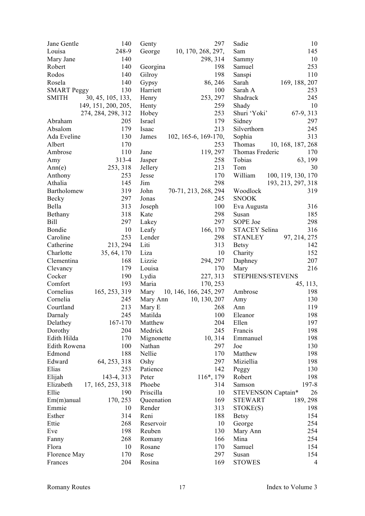| Jane Gentle        | 140                 | Genty      | 297                    | Sadie              | 10                 |
|--------------------|---------------------|------------|------------------------|--------------------|--------------------|
| Louisa             | 248-9               | George     | 10, 170, 268, 297,     | Sam                | 145                |
| Mary Jane          | 140                 |            | 298, 314               | Sammy              | 10                 |
| Robert             | 140                 | Georgina   | 198                    | Samuel             | 253                |
| Rodos              | 140                 | Gilroy     | 198                    | Sanspi             | 110                |
| Rosela             | 140                 | Gypsy      | 86, 246                | Sarah              | 169, 188, 207      |
| <b>SMART Peggy</b> | 130                 | Harriett   | 100                    | Sarah A            | 253                |
| <b>SMITH</b>       | 30, 45, 105, 133,   | Henry      | 253, 297               | Shadrack           | 245                |
|                    | 149, 151, 200, 205, | Henty      | 259                    | Shady              | 10                 |
|                    | 274, 284, 298, 312  | Hobey      | 253                    | Shuri 'Yoki'       | 67-9, 313          |
| Abraham            | 205                 | Israel     | 179                    | Sidney             | 297                |
| Absalom            | 179                 | Isaac      | 213                    | Silverthorn        | 245                |
| Ada Eveline        | 130                 | James      | 102, 165-6, 169-170,   | Sophia             | 313                |
| Albert             | 170                 |            | 253                    | Thomas             | 10, 168, 187, 268  |
| Ambrose            | 110                 | Jane       | 119, 297               | Thomas Frederic    | 170                |
| Amy                | 313-4               | Jasper     | 258                    | Tobias             | 63, 199            |
| Ann(e)             | 253, 318            | Jellery    | 213                    | Tom                | 30                 |
| Anthony            | 253                 | Jesse      | 170                    | William            | 100, 119, 130, 170 |
| Athalia            | 145                 | Jim        | 298                    |                    | 193, 213, 297, 318 |
| Bartholomew        | 319                 | John       | 70-71, 213, 268, 294   | Woodlock           | 319                |
| <b>Becky</b>       | 297                 | Jonas      | 245                    | <b>SNOOK</b>       |                    |
| Bella              | 313                 | Joseph     | 100                    | Eva Augusta        | 316                |
| Bethany            | 318                 | Kate       | 298                    | Susan              | 185                |
| <b>Bill</b>        | 297                 |            | 297                    | SOPE Joe           | 298                |
|                    | 10                  | Lakey      |                        |                    | 316                |
| Bondie             |                     | Leafy      | 166, 170               | STACEY Selina      |                    |
| Caroline           | 253                 | Lender     | 298                    | <b>STANLEY</b>     | 97, 214, 275       |
| Catherine          | 213, 294            | Liti       | 313                    | <b>Betsy</b>       | 142                |
| Charlotte          | 35, 64, 170         | Liza       | 10                     | Charity            | 152                |
| Clementina         | 168                 | Lizzie     | 294, 297               | Daphney            | 207                |
| Clevancy           | 179                 | Louisa     | 170                    | Mary               | 216                |
| Cocker             | 190                 | Lydia      | 227, 313               | STEPHENS/STEVENS   |                    |
| Comfort            | 193                 | Maria      | 170, 253               |                    | 45, 113,           |
| Cornelius          | 165, 253, 319       | Mary       | 10, 146, 166, 245, 297 | Ambrose            | 198                |
| Cornelia           | 245                 | Mary Ann   | 10, 130, 207           | Amy                | 130                |
| Courtland          | 213                 | Mary E     | 268                    | Ann                | 119                |
| Darnaly            | 245                 | Matilda    | 100                    | Eleanor            | 198                |
| Delathey           | 167-170             | Matthew    | 204                    | Ellen              | 197                |
| Dorothy            | 204                 | Medrick    | 245                    | Francis            | 198                |
| Edith Hilda        | 170                 | Mignonette | 10, 314                | Emmanuel           | 198                |
| Edith Rowena       | 100                 | Nathan     | 297                    | Joe                | 130                |
| Edmond             | 188                 | Nellie     | 170                    | Matthew            | 198                |
| Edward             | 64, 253, 318        | Oshy       | 297                    | Miziellia          | 198                |
| Elias              | 253                 | Patience   | 142                    | Peggy              | 130                |
| Elijah             | 143-4, 313          | Peter      | 116*, 179              | Robert             | 198                |
| Elizabeth          | 17, 165, 253, 318   | Phoebe     | 314                    | Samson             | 197-8              |
| Ellie              | 190                 | Priscilla  | 10                     | STEVENSON Captain* | 26                 |
| $Em(m)$ anual      | 170, 253            | Queenation | 169                    | <b>STEWART</b>     | 189, 298           |
| Emmie              | 10                  | Render     | 313                    | STOKE(S)           | 198                |
| Esther             | 314                 | Reni       | 188                    | <b>Betsy</b>       | 154                |
| Ettie              | 268                 | Reservoir  | 10                     | George             | 254                |
| Eve                | 198                 | Reuben     | 130                    | Mary Ann           | 254                |
| Fanny              | 268                 | Romany     | 166                    | Mina               | 254                |
| Flora              | 10                  | Rosane     | 170                    | Samuel             | 154                |
| Florence May       | 170                 | Rose       | 297                    | Susan              | 154                |
| Frances            | 204                 | Rosina     | 169                    | <b>STOWES</b>      | 4                  |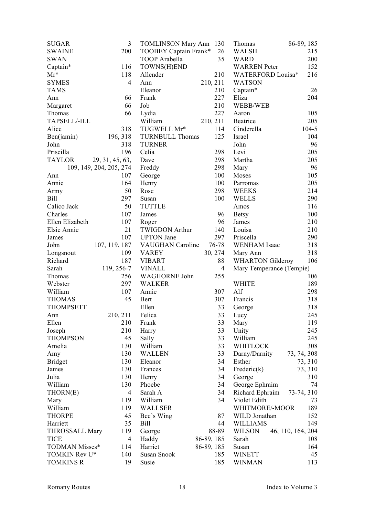| <b>SUGAR</b>            | 3               | <b>TOMLINSON Mary Ann</b> | 130            | Thomas                   | 86-89, 185        |
|-------------------------|-----------------|---------------------------|----------------|--------------------------|-------------------|
| <b>SWAINE</b>           | 200             | TOOBEY Captain Frank*     | 26             | <b>WALSH</b>             | 215               |
| <b>SWAN</b>             |                 | TOOP Arabella             | 35             | <b>WARD</b>              | 200               |
| $Captain*$              | 116             | TOWNS(H)END               |                | <b>WARREN</b> Peter      | 152               |
| $Mr^*$                  | 118             | Allender                  | 210            | <b>WATERFORD Louisa*</b> | 216               |
| <b>SYMES</b>            | $\overline{4}$  | Ann                       | 210, 211       | <b>WATSON</b>            |                   |
| <b>TAMS</b>             |                 | Eleanor                   | 210            | Captain*                 | 26                |
| Ann                     | 66              | Frank                     | 227            | Eliza                    | 204               |
| Margaret                | 66              | Job                       | 210            | WEBB/WEB                 |                   |
| Thomas                  | 66              | Lydia                     | 227            | Aaron                    | 105               |
| TAPSELL/-ILL            |                 | William                   | 210, 211       | Beatrice                 | 205               |
| Alice                   | 318             | TUGWELL Mr*               | 114            | Cinderella               | $104 - 5$         |
| Ben(jamin)              | 196, 318        | <b>TURNBULL Thomas</b>    | 125            | Israel                   | 104               |
| John                    | 318             | <b>TURNER</b>             |                | John                     | 96                |
| Priscilla               | 196             | Celia                     | 298            | Levi                     | 205               |
| <b>TAYLOR</b>           | 29, 31, 45, 63, | Dave                      | 298            | Martha                   | 205               |
| 109, 149, 204, 205, 274 |                 | Freddy                    | 298            | Mary                     | 96                |
| Ann                     | 107             | George                    | 100            | Moses                    | 105               |
| Annie                   | 164             | Henry                     | 100            | Parromas                 | 205               |
|                         | 50              | Rose                      | 298            | <b>WEEKS</b>             | 214               |
| Army<br><b>Bill</b>     | 297             | Susan                     | 100            | <b>WELLS</b>             | 290               |
|                         |                 |                           |                |                          |                   |
| Calico Jack             | 50              | <b>TUTTLE</b>             |                | Amos                     | 116               |
| Charles                 | 107             | James                     | 96             | <b>Betsy</b>             | 100               |
| Ellen Elizabeth         | 107             | Roger                     | 96             | James                    | 210               |
| Elsie Annie             | 21              | <b>TWIGDON Arthur</b>     | 140            | Louisa                   | 210               |
| James                   | 107             | <b>UPTON</b> Jane         | 297            | Priscella                | 290               |
| John                    | 107, 119, 187   | <b>VAUGHAN</b> Caroline   | 76-78          | <b>WENHAM</b> Isaac      | 318               |
| Longsnout               | 109             | <b>VAREY</b>              | 30, 274        | Mary Ann                 | 318               |
| Richard                 | 187             | <b>VIBART</b>             | 88             | <b>WHARTON Gilderoy</b>  | 106               |
| Sarah                   | 119, 256-7      | <b>VINALL</b>             | $\overline{4}$ | Mary Temperance (Tempie) |                   |
| Thomas                  | 256             | <b>WAGHORNE John</b>      | 255            |                          | 106               |
| Webster                 | 297             | <b>WALKER</b>             |                | <b>WHITE</b>             | 189               |
| William                 | 107             | Annie                     | 307            | Alf                      | 298               |
| <b>THOMAS</b>           | 45              | <b>Bert</b>               | 307            | Francis                  | 318               |
| <b>THOMPSETT</b>        |                 | Ellen                     | 33             | George                   | 318               |
| Ann                     | 210, 211        | Felica                    | 33             | Lucy                     | 245               |
| Ellen                   | 210             | Frank                     | 33             | Mary                     | 119               |
| Joseph                  | 210             | Harry                     | 33             | Unity                    | 245               |
| <b>THOMPSON</b>         | 45              | Sally                     | 33             | William                  | 245               |
| Amelia                  | 130             | William                   | 33             | <b>WHITLOCK</b>          | 308               |
| Amy                     | 130             | <b>WALLEN</b>             | 33             | Darny/Darnity            | 73, 74, 308       |
| <b>Bridget</b>          | 130             | Eleanor                   | 34             | Esther                   | 73, 310           |
| James                   | 130             | Frances                   | 34             | Frederic(k)              | 73, 310           |
| Julia                   | 130             | Henry                     | 34             | George                   | 310               |
| William                 | 130             | Phoebe                    | 34             | George Ephraim           | 74                |
| THORN(E)                | $\overline{4}$  | Sarah A                   | 34             | Richard Ephraim          | 73-74, 310        |
| Mary                    | 119             | William                   | 34             | Violet Edith             | 73                |
| William                 | 119             | <b>WALLSER</b>            |                | WHITMORE/-MOOR           | 189               |
| <b>THORPE</b>           | 45              | Bee's Wing                | 87             | WILD Jonathan            | 152               |
| Harriett                | 35              | Bill                      | 44             | <b>WILLIAMS</b>          | 149               |
| <b>THROSSALL Mary</b>   | 119             | George                    | 88-89          | <b>WILSON</b>            | 46, 110, 164, 204 |
| <b>TICE</b>             | $\overline{4}$  | Haddy                     | 86-89, 185     | Sarah                    | 108               |
| TODMAN Misses*          | 114             | Harriet                   | 86-89, 185     | Susan                    | 164               |
| TOMKIN Rev U*           | 140             | Susan Snook               | 185            | <b>WINETT</b>            | 45                |
| <b>TOMKINS R</b>        | 19              | Susie                     | 185            | <b>WINMAN</b>            | 113               |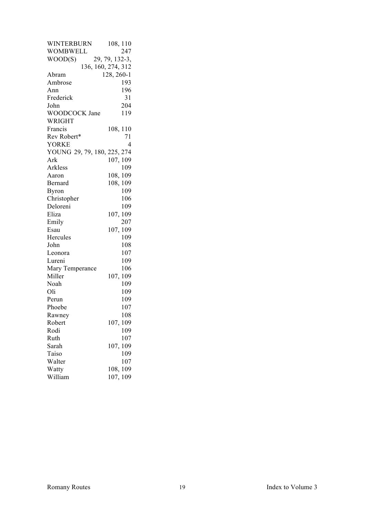| <b>WINTERBURN</b>           | 108, 110       |
|-----------------------------|----------------|
| WOMBWELL                    | 247            |
| WOOD(S)                     | 29, 79, 132-3, |
| 136, 160, 274, 312          |                |
| Abram                       | 128, 260-1     |
| Ambrose                     | 193            |
| Ann                         | 196            |
| Frederick                   | 31             |
| John                        | 204            |
| WOODCOCK Jane               | 119            |
| <b>WRIGHT</b>               |                |
| Francis                     | 108, 110       |
| Rev Robert*                 | 71             |
| <b>YORKE</b>                | 4              |
| YOUNG 29, 79, 180, 225, 274 |                |
| Ark                         | 107, 109       |
| Arkless                     | 109            |
| Aaron                       | 108, 109       |
| Bernard                     | 108, 109       |
| <b>Byron</b>                | 109            |
| Christopher                 | 106            |
| Deloreni                    | 109            |
| Eliza                       | 107, 109       |
| Emily                       | 207            |
| Esau                        | 107, 109       |
| Hercules                    | 109            |
| John                        | 108            |
| Leonora                     | 107            |
| Lureni                      | 109            |
| Mary Temperance             | 106            |
| Miller                      | 107, 109       |
| Noah                        | 109            |
| Oli                         | 109            |
| Perun                       | 109            |
| Phoebe                      | 107            |
| Rawney                      | 108            |
| Robert                      | 107, 109       |
| Rodi                        | 109            |
| Ruth                        | 107            |
| Sarah                       | 107, 109       |
| Taiso                       | 109            |
| Walter                      | 107            |
| Watty                       | 108, 109       |
| William                     | 107, 109       |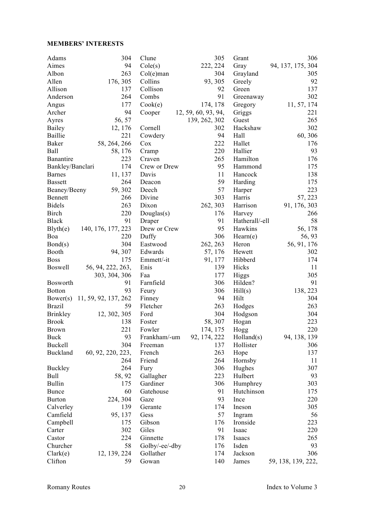#### **MEMBERS' INTERESTS**

| Adams            | 304                  | Clune           | 305                 | Grant          | 306                |
|------------------|----------------------|-----------------|---------------------|----------------|--------------------|
| Aimes            | 94                   | Cole(s)         | 222, 224            | Gray           | 94, 137, 175, 304  |
| Albon            | 263                  | $Col(e)$ man    | 304                 | Grayland       | 305                |
| Allen            | 176, 305             | Collins         | 93, 305             | Greely         | 92                 |
| Allison          | 137                  | Collison        | 92                  | Green          | 137                |
| Anderson         | 264                  | Combs           | 91                  | Greenaway      | 302                |
| Angus            | 177                  | Cook(e)         | 174, 178            | Gregory        | 11, 57, 174        |
| Archer           | 94                   | Cooper          | 12, 59, 60, 93, 94, | Griggs         | 221                |
| Ayres            | 56, 57               |                 | 139, 262, 302       | Guest          | 265                |
| Bailey           | 12, 176              | Cornell         | 302                 | Hackshaw       | 302                |
| Baillie          | 221                  | Cowdery         | 94                  | Hall           | 60, 306            |
| Baker            | 58, 264, 266         | Cox             | 222                 | Hallet         | 176                |
| Ball             | 58, 176              |                 | 220                 | Hallier        | 93                 |
|                  | 223                  | Cramp<br>Craven | 265                 | Hamilton       | 176                |
| Banantire        |                      |                 |                     |                |                    |
| Bankley/Banclari | 174                  | Crew or Drew    | 95                  | Hammond        | 175                |
| <b>Barnes</b>    | 11, 137              | Davis           | 11                  | Hancock        | 138                |
| <b>Bassett</b>   | 264                  | Deacon          | 59                  | Harding        | 175                |
| Beaney/Beeny     | 59, 302              | Deech           | 57                  | Harper         | 223                |
| Bennett          | 266                  | Divine          | 303                 | Harris         | 57, 223            |
| <b>Bidels</b>    | 263                  | Dixon           | 262, 303            | Harrison       | 91, 176, 303       |
| <b>Birch</b>     | 220                  | Douglas $(s)$   | 176                 | Harvey         | 266                |
| <b>Black</b>     | 91                   | Draper          | 91                  | Hatherall/-ell | 58                 |
| Blyth(e)         | 140, 176, 177, 223   | Drew or Crew    | 95                  | Hawkins        | 56, 178            |
| Boa              | 220                  | Duffy           | 306                 | Hearn(e)       | 56, 93             |
| Bond(s)          | 304                  | Eastwood        | 262, 263            | Heron          | 56, 91, 176        |
| Booth            | 94, 307              | Edwards         | 57, 176             | Hewett         | 302                |
| <b>Boss</b>      | 175                  | Emmett/-it      | 91, 177             | Hibberd        | 174                |
| <b>Boswell</b>   | 56, 94, 222, 263,    | Enis            | 139                 | Hicks          | 11                 |
|                  | 303, 304, 306        | Faa             | 177                 | <b>Higgs</b>   | 305                |
| Bosworth         | 91                   | Farnfield       | 306                 | Hilden?        | 91                 |
| <b>Botton</b>    | 93                   | Feury           | 306                 | Hill(s)        | 138, 223           |
| Bower(s)         | 11, 59, 92, 137, 262 | Finney          | 94                  | Hilt           | 304                |
| <b>Brazil</b>    | 59                   | Fletcher        | 263                 | Hodges         | 263                |
| Brinkley         | 12, 302, 305         | Ford            | 304                 | Hodgson        | 304                |
| <b>Brook</b>     | 138                  | Foster          | 58, 307             | Hogan          | 223                |
| <b>Brown</b>     | 221                  | Fowler          | 174, 175            | Hogg           | 220                |
| Buck             | 93                   | Frankham/-um    | 92, 174, 222        | Holland(s)     | 94, 138, 139       |
| Buckell          | 304                  | Freeman         | 137                 | Hollister      | 306                |
| Buckland         | 60, 92, 220, 223,    | French          | 263                 | Hope           | 137                |
|                  | 264                  | Friend          | 264                 | Hornsby        | 11                 |
| <b>Buckley</b>   | 264                  | Fury            | 306                 | Hughes         | 307                |
| Bull             | 58, 92               | Gallagher       | 223                 | Hulbert        | 93                 |
| <b>Bullin</b>    | 175                  | Gardiner        | 306                 | Humphrey       | 303                |
| <b>Bunce</b>     | 60                   | Gatehouse       | 91                  | Hutchinson     | 175                |
| <b>Burton</b>    | 224, 304             | Gaze            | 93                  | Ince           | 220                |
| Calverley        | 139                  | Gerante         | 174                 | Ineson         | 305                |
| Camfield         | 95, 137              | Gess            | 57                  |                | 56                 |
|                  |                      |                 |                     | Ingram         |                    |
| Campbell         | 175                  | Gibson          | 176                 | Ironside       | 223                |
| Carter           | 302                  | Giles           | 91                  | Isaac          | 220                |
| Castor           | 224                  | Ginnette        | 178                 | Isaacs         | 265                |
| Churcher         | 58                   | Golby/-ee/-dby  | 176                 | Isden          | 93                 |
| Clark(e)         | 12, 139, 224         | Gollather       | 174                 | Jackson        | 306                |
| Clifton          | 59                   | Gowan           | 140                 | James          | 59, 138, 139, 222, |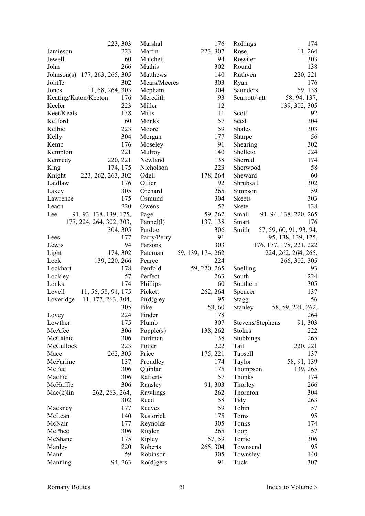|                      | 223, 303                      | Marshal      | 176                      | Rollings         | 174                     |
|----------------------|-------------------------------|--------------|--------------------------|------------------|-------------------------|
| Jamieson             | 223                           | Martin       | 223, 307                 | Rose             | 11, 264                 |
| Jewell               | 60                            | Matchett     | 94                       | Rossiter         | 303                     |
| John                 | 266                           | Mathis       | 302                      | Round            | 138                     |
|                      | Johnson(s) 177, 263, 265, 305 | Matthews     | 140                      | Ruthven          | 220, 221                |
| Joliffe              | 302                           | Mears/Meeres | 303                      | Ryan             | 176                     |
| Jones                | 11, 58, 264, 303              | Mepham       | 304                      | Saunders         | 59, 138                 |
| Keating/Katon/Keeton | 176                           | Meredith     | 93                       | Scarrott/-att    | 58, 94, 137,            |
| Keeler               | 223                           | Miller       | 12                       |                  | 139, 302, 305           |
| Keet/Keats           | 138                           | Mills        | 11                       | Scott            | 92                      |
| Kefford              | 60                            | Monks        | 57                       | Seed             | 304                     |
| Kelbie               | 223                           | Moore        | 59                       | Shales           | 303                     |
| Kelly                | 304                           | Morgan       | 177                      | Sharpe           | 56                      |
| Kemp                 | 176                           | Moseley      | 91                       | Shearing         | 302                     |
| Kempton              | 221                           | Mulroy       | 140                      | Shelleto         | 224                     |
| Kennedy              | 220, 221                      | Newland      | 138                      | Sherred          | 174                     |
| King                 | 174, 175                      | Nicholson    | 223                      | Sherwood         | 58                      |
| Knight               | 223, 262, 263, 302            | Odell        | 178, 264                 | Sheward          | 60                      |
| Laidlaw              | 176                           | Ollier       | 92                       | Shrubsall        | 302                     |
| Lakey                | 305                           | Orchard      | 265                      | Simpson          | 59                      |
| Lawrence             | 175                           | Osmund       | 304                      | <b>Skeets</b>    | 303                     |
| Leach                | 220                           | Owens        | 57                       | Skete            | 138                     |
| Lee                  | 91, 93, 138, 139, 175,        | Page         | 59, 262                  | Small            | 91, 94, 138, 220, 265   |
|                      | 177, 224, 264, 302, 303,      | Pannel(1)    | 137, 138                 | Smart            | 176                     |
|                      | 304, 305                      | Pardoe       | 306                      | Smith            | 57, 59, 60, 91, 93, 94, |
| Lees                 | 177                           | Parry/Perry  | 91                       |                  |                         |
|                      | 94                            |              | 303                      |                  | 95, 138, 139, 175,      |
| Lewis                |                               | Parsons      |                          |                  | 176, 177, 178, 221, 222 |
| Light                | 174, 302                      | Pateman      | 59, 139, 174, 262<br>224 |                  | 224, 262, 264, 265,     |
| Lock                 | 139, 220, 266                 | Pearce       |                          |                  | 266, 302, 305           |
| Lockhart             | 178                           | Penfold      | 59, 220, 265             | Snelling         | 93                      |
| Lockley              | 57                            | Perfect      | 263                      | South            | 224                     |
| Lonks                | 174                           | Phillips     | 60                       | Southern         | 305                     |
| Lovell               | 11, 56, 58, 91, 175           | Pickett      | 262, 264                 | Spencer          | 137                     |
| Loveridge            | 11, 177, 263, 304,            | Pi(d)gley    | 95                       | <b>Stagg</b>     | 56                      |
|                      | 305                           | Pike         | 58,60                    | Stanley          | 58, 59, 221, 262,       |
| Lovey                | 224                           | Pinder       | 178                      |                  | 264                     |
| Lowther              | 175                           | Plumb        | 307                      | Stevens/Stephens | 91, 303                 |
| McAfee               | 306                           | Popple $(s)$ | 138, 262                 | <b>Stokes</b>    | 222                     |
| McCathie             | 306                           | Portman      | 138                      | Stubbings        | 265                     |
| McCullock            | 223                           | Potter       | 222                      | Tait             | 220, 221                |
| Mace                 | 262, 305                      | Price        | 175, 221                 | Tapsell          | 137                     |
| McFarline            | 137                           | Proudley     | 174                      | Taylor           | 58, 91, 139             |
| McFee                | 306                           | Quinlan      | 175                      | Thompson         | 139, 265                |
| MacFie               | 306                           | Rafferty     | 57                       | Thonks           | 174                     |
| McHaffie             | 306                           | Ransley      | 91, 303                  | Thorley          | 266                     |
| $Mac(k)$ lin         | 262, 263, 264,                | Rawlings     | 262                      | Thornton         | 304                     |
|                      | 302                           | Reed         | 58                       | Tidy             | 263                     |
| Mackney              | 177                           | Reeves       | 59                       | Tobin            | 57                      |
| McLean               | 140                           | Restorick    | 175                      | Toms             | 95                      |
| McNair               | 177                           | Reynolds     | 305                      | Tonks            | 174                     |
| McPhee               | 306                           | Rigden       | 265                      | Toop             | 57                      |
| McShane              | 175                           | Ripley       | 57, 59                   | Torrie           | 306                     |
| Manley               | 220                           | Roberts      | 265, 304                 | Townsend         | 95                      |
| Mann                 | 59                            | Robinson     | 305                      | Townsley         | 140                     |
| Manning              | 94, 263                       | $Ro(d)$ gers | 91                       | Tuck             | 307                     |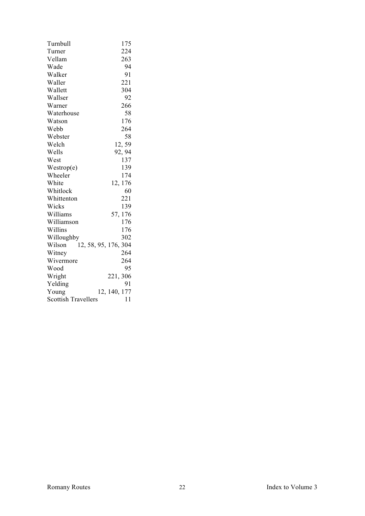| Turnbull                       | 175          |
|--------------------------------|--------------|
| Turner                         | 224          |
| Vellam                         | 263          |
| Wade                           | 94           |
| Walker                         | 91           |
| Waller                         | 221          |
| Wallett                        | 304          |
| Wallser                        | 92           |
| Warner                         | 266          |
| Waterhouse                     | 58           |
| Watson                         | 176          |
| Webb                           | 264          |
| Webster                        | 58           |
| Welch                          | 12,59        |
| Wells                          | 92, 94       |
| West                           | 137          |
| Westrop(e)                     | 139          |
| Wheeler                        | 174          |
| White                          | 12, 176      |
| Whitlock                       | 60           |
| Whittenton                     | 221          |
| Wicks                          | 139          |
| Williams                       | 57, 176      |
| Williamson                     | 176          |
| Willins                        | 176          |
| Willoughby                     | 302          |
| 12, 58, 95, 176, 304<br>Wilson |              |
| Witney                         | 264          |
| Wivermore                      | 264          |
| Wood                           | 95           |
| Wright                         | 221, 306     |
| Yelding                        | 91           |
| Young                          | 12, 140, 177 |
| <b>Scottish Travellers</b>     | 11           |